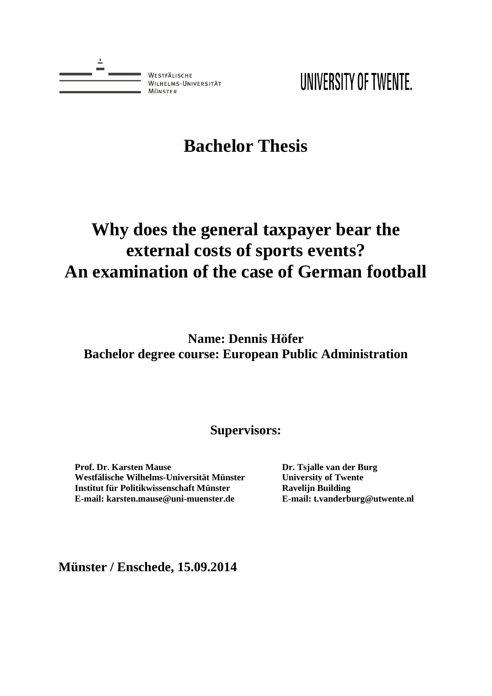

UNIVERSITY OF TWENTE.

# **Bachelor Thesis**

# **Why does the general taxpayer bear the external costs of sports events? An examination of the case of German football**

**Name: Dennis Höfer Bachelor degree course: European Public Administration**

**Supervisors:**

**Prof. Dr. Karsten Mause Westfälische Wilhelms-Universität Münster Institut für Politikwissenschaft Münster E-mail: karsten.mause@uni-muenster.de**

**Dr. Tsjalle van der Burg University of Twente Ravelijn Building E-mail: t.vanderburg@utwente.nl**

**Münster / Enschede, 15.09.2014**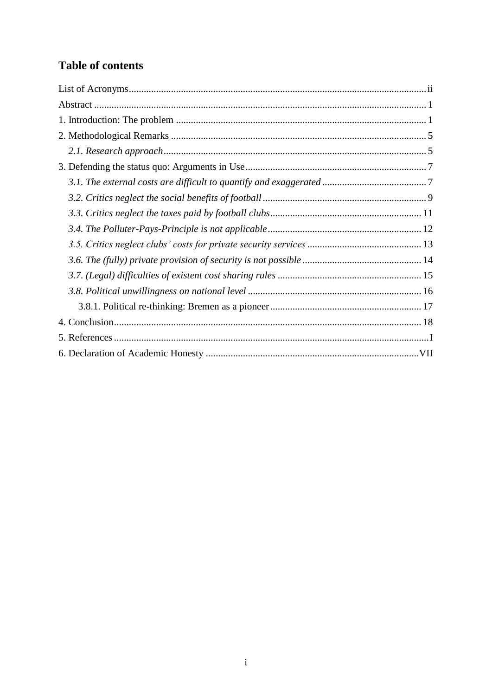# **Table of contents**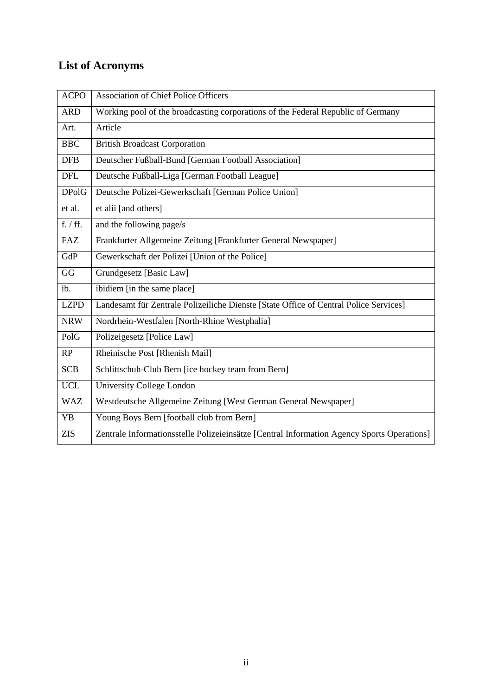# <span id="page-2-0"></span>**List of Acronyms**

| <b>ACPO</b>  | <b>Association of Chief Police Officers</b>                                                |
|--------------|--------------------------------------------------------------------------------------------|
| <b>ARD</b>   | Working pool of the broadcasting corporations of the Federal Republic of Germany           |
| Art.         | Article                                                                                    |
| <b>BBC</b>   | <b>British Broadcast Corporation</b>                                                       |
| <b>DFB</b>   | Deutscher Fußball-Bund [German Football Association]                                       |
| <b>DFL</b>   | Deutsche Fußball-Liga [German Football League]                                             |
| <b>DPolG</b> | Deutsche Polizei-Gewerkschaft [German Police Union]                                        |
| et al.       | et alii [and others]                                                                       |
| f. / ff.     | and the following page/s                                                                   |
| <b>FAZ</b>   | Frankfurter Allgemeine Zeitung [Frankfurter General Newspaper]                             |
| GdP          | Gewerkschaft der Polizei [Union of the Police]                                             |
| GG           | Grundgesetz [Basic Law]                                                                    |
| ib.          | ibidiem [in the same place]                                                                |
| <b>LZPD</b>  | Landesamt für Zentrale Polizeiliche Dienste [State Office of Central Police Services]      |
| <b>NRW</b>   | Nordrhein-Westfalen [North-Rhine Westphalia]                                               |
| PolG         | Polizeigesetz [Police Law]                                                                 |
| RP           | Rheinische Post [Rhenish Mail]                                                             |
| <b>SCB</b>   | Schlittschuh-Club Bern [ice hockey team from Bern]                                         |
| <b>UCL</b>   | University College London                                                                  |
| <b>WAZ</b>   | Westdeutsche Allgemeine Zeitung [West German General Newspaper]                            |
| <b>YB</b>    | Young Boys Bern [football club from Bern]                                                  |
| <b>ZIS</b>   | Zentrale Informationsstelle Polizeieinsätze [Central Information Agency Sports Operations] |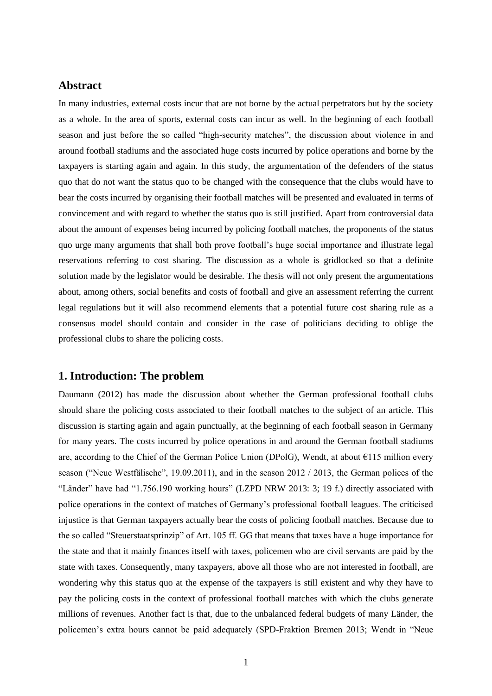# <span id="page-3-0"></span>**Abstract**

In many industries, external costs incur that are not borne by the actual perpetrators but by the society as a whole. In the area of sports, external costs can incur as well. In the beginning of each football season and just before the so called "high-security matches", the discussion about violence in and around football stadiums and the associated huge costs incurred by police operations and borne by the taxpayers is starting again and again. In this study, the argumentation of the defenders of the status quo that do not want the status quo to be changed with the consequence that the clubs would have to bear the costs incurred by organising their football matches will be presented and evaluated in terms of convincement and with regard to whether the status quo is still justified. Apart from controversial data about the amount of expenses being incurred by policing football matches, the proponents of the status quo urge many arguments that shall both prove football's huge social importance and illustrate legal reservations referring to cost sharing. The discussion as a whole is gridlocked so that a definite solution made by the legislator would be desirable. The thesis will not only present the argumentations about, among others, social benefits and costs of football and give an assessment referring the current legal regulations but it will also recommend elements that a potential future cost sharing rule as a consensus model should contain and consider in the case of politicians deciding to oblige the professional clubs to share the policing costs.

## <span id="page-3-1"></span>**1. Introduction: The problem**

Daumann (2012) has made the discussion about whether the German professional football clubs should share the policing costs associated to their football matches to the subject of an article. This discussion is starting again and again punctually, at the beginning of each football season in Germany for many years. The costs incurred by police operations in and around the German football stadiums are, according to the Chief of the German Police Union (DPolG), Wendt, at about  $\epsilon$ 115 million every season ("Neue Westfälische", 19.09.2011), and in the season 2012 / 2013, the German polices of the "Länder" have had "1.756.190 working hours" (LZPD NRW 2013: 3; 19 f.) directly associated with police operations in the context of matches of Germany's professional football leagues. The criticised injustice is that German taxpayers actually bear the costs of policing football matches. Because due to the so called "Steuerstaatsprinzip" of Art. 105 ff. GG that means that taxes have a huge importance for the state and that it mainly finances itself with taxes, policemen who are civil servants are paid by the state with taxes. Consequently, many taxpayers, above all those who are not interested in football, are wondering why this status quo at the expense of the taxpayers is still existent and why they have to pay the policing costs in the context of professional football matches with which the clubs generate millions of revenues. Another fact is that, due to the unbalanced federal budgets of many Länder, the policemen's extra hours cannot be paid adequately (SPD-Fraktion Bremen 2013; Wendt in "Neue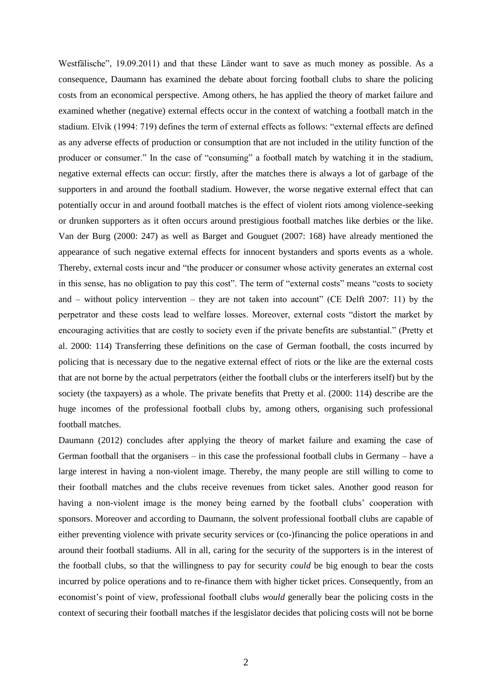Westfälische", 19.09.2011) and that these Länder want to save as much money as possible. As a consequence, Daumann has examined the debate about forcing football clubs to share the policing costs from an economical perspective. Among others, he has applied the theory of market failure and examined whether (negative) external effects occur in the context of watching a football match in the stadium. Elvik (1994: 719) defines the term of external effects as follows: "external effects are defined as any adverse effects of production or consumption that are not included in the utility function of the producer or consumer." In the case of "consuming" a football match by watching it in the stadium, negative external effects can occur: firstly, after the matches there is always a lot of garbage of the supporters in and around the football stadium. However, the worse negative external effect that can potentially occur in and around football matches is the effect of violent riots among violence-seeking or drunken supporters as it often occurs around prestigious football matches like derbies or the like. Van der Burg (2000: 247) as well as Barget and Gouguet (2007: 168) have already mentioned the appearance of such negative external effects for innocent bystanders and sports events as a whole. Thereby, external costs incur and "the producer or consumer whose activity generates an external cost in this sense, has no obligation to pay this cost". The term of "external costs" means "costs to society and – without policy intervention – they are not taken into account" (CE Delft 2007: 11) by the perpetrator and these costs lead to welfare losses. Moreover, external costs "distort the market by encouraging activities that are costly to society even if the private benefits are substantial." (Pretty et al. 2000: 114) Transferring these definitions on the case of German football, the costs incurred by policing that is necessary due to the negative external effect of riots or the like are the external costs that are not borne by the actual perpetrators (either the football clubs or the interferers itself) but by the society (the taxpayers) as a whole. The private benefits that Pretty et al. (2000: 114) describe are the huge incomes of the professional football clubs by, among others, organising such professional football matches.

Daumann (2012) concludes after applying the theory of market failure and examing the case of German football that the organisers – in this case the professional football clubs in Germany – have a large interest in having a non-violent image. Thereby, the many people are still willing to come to their football matches and the clubs receive revenues from ticket sales. Another good reason for having a non-violent image is the money being earned by the football clubs' cooperation with sponsors. Moreover and according to Daumann, the solvent professional football clubs are capable of either preventing violence with private security services or (co-)financing the police operations in and around their football stadiums. All in all, caring for the security of the supporters is in the interest of the football clubs, so that the willingness to pay for security *could* be big enough to bear the costs incurred by police operations and to re-finance them with higher ticket prices. Consequently, from an economist's point of view, professional football clubs *would* generally bear the policing costs in the context of securing their football matches if the lesgislator decides that policing costs will not be borne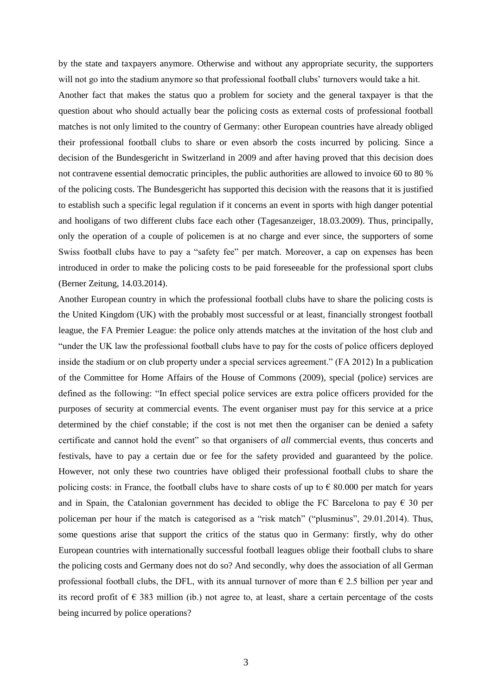by the state and taxpayers anymore. Otherwise and without any appropriate security, the supporters will not go into the stadium anymore so that professional football clubs' turnovers would take a hit.

Another fact that makes the status quo a problem for society and the general taxpayer is that the question about who should actually bear the policing costs as external costs of professional football matches is not only limited to the country of Germany: other European countries have already obliged their professional football clubs to share or even absorb the costs incurred by policing. Since a decision of the Bundesgericht in Switzerland in 2009 and after having proved that this decision does not contravene essential democratic principles, the public authorities are allowed to invoice 60 to 80 % of the policing costs. The Bundesgericht has supported this decision with the reasons that it is justified to establish such a specific legal regulation if it concerns an event in sports with high danger potential and hooligans of two different clubs face each other (Tagesanzeiger, 18.03.2009). Thus, principally, only the operation of a couple of policemen is at no charge and ever since, the supporters of some Swiss football clubs have to pay a "safety fee" per match. Moreover, a cap on expenses has been introduced in order to make the policing costs to be paid foreseeable for the professional sport clubs (Berner Zeitung, 14.03.2014).

Another European country in which the professional football clubs have to share the policing costs is the United Kingdom (UK) with the probably most successful or at least, financially strongest football league, the FA Premier League: the police only attends matches at the invitation of the host club and "under the UK law the professional football clubs have to pay for the costs of police officers deployed inside the stadium or on club property under a special services agreement." (FA 2012) In a publication of the Committee for Home Affairs of the House of Commons (2009), special (police) services are defined as the following: "In effect special police services are extra police officers provided for the purposes of security at commercial events. The event organiser must pay for this service at a price determined by the chief constable; if the cost is not met then the organiser can be denied a safety certificate and cannot hold the event" so that organisers of *all* commercial events, thus concerts and festivals, have to pay a certain due or fee for the safety provided and guaranteed by the police. However, not only these two countries have obliged their professional football clubs to share the policing costs: in France, the football clubs have to share costs of up to  $\epsilon$  80.000 per match for years and in Spain, the Catalonian government has decided to oblige the FC Barcelona to pay  $\epsilon$  30 per policeman per hour if the match is categorised as a "risk match" ("plusminus", 29.01.2014). Thus, some questions arise that support the critics of the status quo in Germany: firstly, why do other European countries with internationally successful football leagues oblige their football clubs to share the policing costs and Germany does not do so? And secondly, why does the association of all German professional football clubs, the DFL, with its annual turnover of more than  $\epsilon$  2.5 billion per year and its record profit of  $\epsilon$  383 million (ib.) not agree to, at least, share a certain percentage of the costs being incurred by police operations?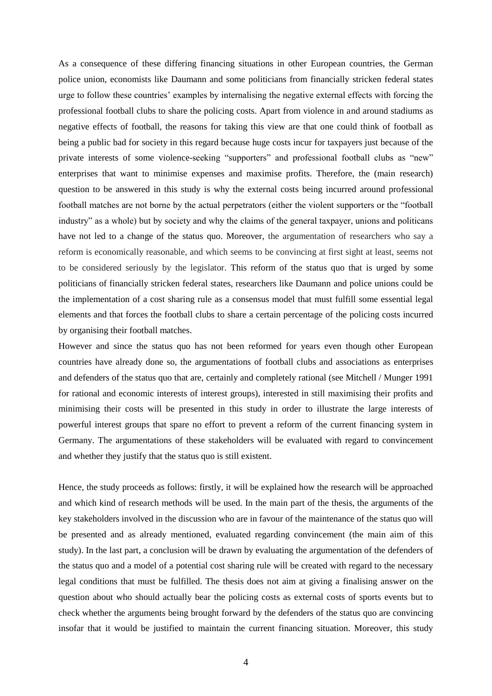As a consequence of these differing financing situations in other European countries, the German police union, economists like Daumann and some politicians from financially stricken federal states urge to follow these countries' examples by internalising the negative external effects with forcing the professional football clubs to share the policing costs. Apart from violence in and around stadiums as negative effects of football, the reasons for taking this view are that one could think of football as being a public bad for society in this regard because huge costs incur for taxpayers just because of the private interests of some violence-seeking "supporters" and professional football clubs as "new" enterprises that want to minimise expenses and maximise profits. Therefore, the (main research) question to be answered in this study is why the external costs being incurred around professional football matches are not borne by the actual perpetrators (either the violent supporters or the "football industry" as a whole) but by society and why the claims of the general taxpayer, unions and politicans have not led to a change of the status quo. Moreover, the argumentation of researchers who say a reform is economically reasonable, and which seems to be convincing at first sight at least, seems not to be considered seriously by the legislator. This reform of the status quo that is urged by some politicians of financially stricken federal states, researchers like Daumann and police unions could be the implementation of a cost sharing rule as a consensus model that must fulfill some essential legal elements and that forces the football clubs to share a certain percentage of the policing costs incurred by organising their football matches.

However and since the status quo has not been reformed for years even though other European countries have already done so, the argumentations of football clubs and associations as enterprises and defenders of the status quo that are, certainly and completely rational (see Mitchell / Munger 1991 for rational and economic interests of interest groups), interested in still maximising their profits and minimising their costs will be presented in this study in order to illustrate the large interests of powerful interest groups that spare no effort to prevent a reform of the current financing system in Germany. The argumentations of these stakeholders will be evaluated with regard to convincement and whether they justify that the status quo is still existent.

Hence, the study proceeds as follows: firstly, it will be explained how the research will be approached and which kind of research methods will be used. In the main part of the thesis, the arguments of the key stakeholders involved in the discussion who are in favour of the maintenance of the status quo will be presented and as already mentioned, evaluated regarding convincement (the main aim of this study). In the last part, a conclusion will be drawn by evaluating the argumentation of the defenders of the status quo and a model of a potential cost sharing rule will be created with regard to the necessary legal conditions that must be fulfilled. The thesis does not aim at giving a finalising answer on the question about who should actually bear the policing costs as external costs of sports events but to check whether the arguments being brought forward by the defenders of the status quo are convincing insofar that it would be justified to maintain the current financing situation. Moreover, this study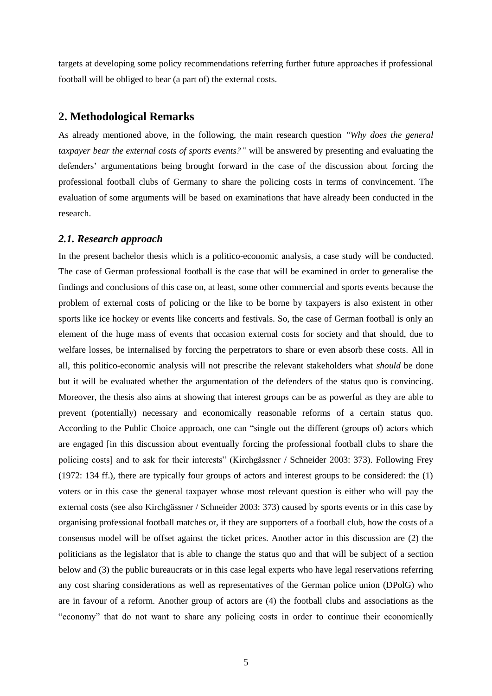targets at developing some policy recommendations referring further future approaches if professional football will be obliged to bear (a part of) the external costs.

### <span id="page-7-0"></span>**2. Methodological Remarks**

As already mentioned above, in the following, the main research question *"Why does the general taxpayer bear the external costs of sports events?"* will be answered by presenting and evaluating the defenders' argumentations being brought forward in the case of the discussion about forcing the professional football clubs of Germany to share the policing costs in terms of convincement. The evaluation of some arguments will be based on examinations that have already been conducted in the research.

#### <span id="page-7-1"></span>*2.1. Research approach*

In the present bachelor thesis which is a politico-economic analysis, a case study will be conducted. The case of German professional football is the case that will be examined in order to generalise the findings and conclusions of this case on, at least, some other commercial and sports events because the problem of external costs of policing or the like to be borne by taxpayers is also existent in other sports like ice hockey or events like concerts and festivals. So, the case of German football is only an element of the huge mass of events that occasion external costs for society and that should, due to welfare losses, be internalised by forcing the perpetrators to share or even absorb these costs. All in all, this politico-economic analysis will not prescribe the relevant stakeholders what *should* be done but it will be evaluated whether the argumentation of the defenders of the status quo is convincing. Moreover, the thesis also aims at showing that interest groups can be as powerful as they are able to prevent (potentially) necessary and economically reasonable reforms of a certain status quo. According to the Public Choice approach, one can "single out the different (groups of) actors which are engaged [in this discussion about eventually forcing the professional football clubs to share the policing costs] and to ask for their interests" (Kirchgässner / Schneider 2003: 373). Following Frey (1972: 134 ff.), there are typically four groups of actors and interest groups to be considered: the (1) voters or in this case the general taxpayer whose most relevant question is either who will pay the external costs (see also Kirchgässner / Schneider 2003: 373) caused by sports events or in this case by organising professional football matches or, if they are supporters of a football club, how the costs of a consensus model will be offset against the ticket prices. Another actor in this discussion are (2) the politicians as the legislator that is able to change the status quo and that will be subject of a section below and (3) the public bureaucrats or in this case legal experts who have legal reservations referring any cost sharing considerations as well as representatives of the German police union (DPolG) who are in favour of a reform. Another group of actors are (4) the football clubs and associations as the "economy" that do not want to share any policing costs in order to continue their economically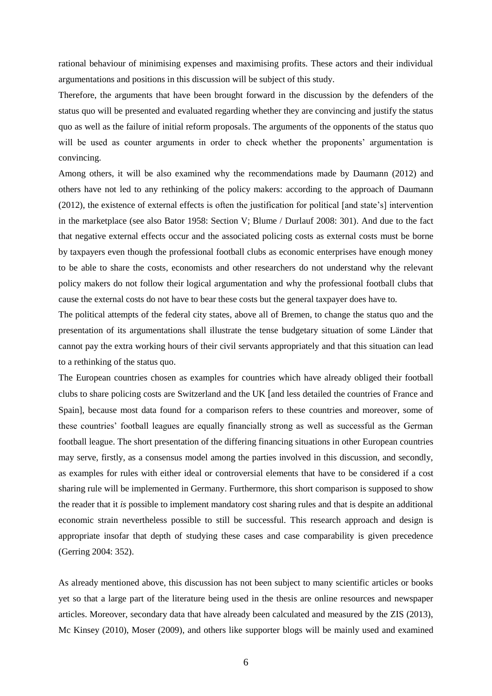rational behaviour of minimising expenses and maximising profits. These actors and their individual argumentations and positions in this discussion will be subject of this study.

Therefore, the arguments that have been brought forward in the discussion by the defenders of the status quo will be presented and evaluated regarding whether they are convincing and justify the status quo as well as the failure of initial reform proposals. The arguments of the opponents of the status quo will be used as counter arguments in order to check whether the proponents' argumentation is convincing.

Among others, it will be also examined why the recommendations made by Daumann (2012) and others have not led to any rethinking of the policy makers: according to the approach of Daumann (2012), the existence of external effects is often the justification for political [and state's] intervention in the marketplace (see also Bator 1958: Section V; Blume / Durlauf 2008: 301). And due to the fact that negative external effects occur and the associated policing costs as external costs must be borne by taxpayers even though the professional football clubs as economic enterprises have enough money to be able to share the costs, economists and other researchers do not understand why the relevant policy makers do not follow their logical argumentation and why the professional football clubs that cause the external costs do not have to bear these costs but the general taxpayer does have to.

The political attempts of the federal city states, above all of Bremen, to change the status quo and the presentation of its argumentations shall illustrate the tense budgetary situation of some Länder that cannot pay the extra working hours of their civil servants appropriately and that this situation can lead to a rethinking of the status quo.

The European countries chosen as examples for countries which have already obliged their football clubs to share policing costs are Switzerland and the UK [and less detailed the countries of France and Spain], because most data found for a comparison refers to these countries and moreover, some of these countries' football leagues are equally financially strong as well as successful as the German football league. The short presentation of the differing financing situations in other European countries may serve, firstly, as a consensus model among the parties involved in this discussion, and secondly, as examples for rules with either ideal or controversial elements that have to be considered if a cost sharing rule will be implemented in Germany. Furthermore, this short comparison is supposed to show the reader that it *is* possible to implement mandatory cost sharing rules and that is despite an additional economic strain nevertheless possible to still be successful. This research approach and design is appropriate insofar that depth of studying these cases and case comparability is given precedence (Gerring 2004: 352).

As already mentioned above, this discussion has not been subject to many scientific articles or books yet so that a large part of the literature being used in the thesis are online resources and newspaper articles. Moreover, secondary data that have already been calculated and measured by the ZIS (2013), Mc Kinsey (2010), Moser (2009), and others like supporter blogs will be mainly used and examined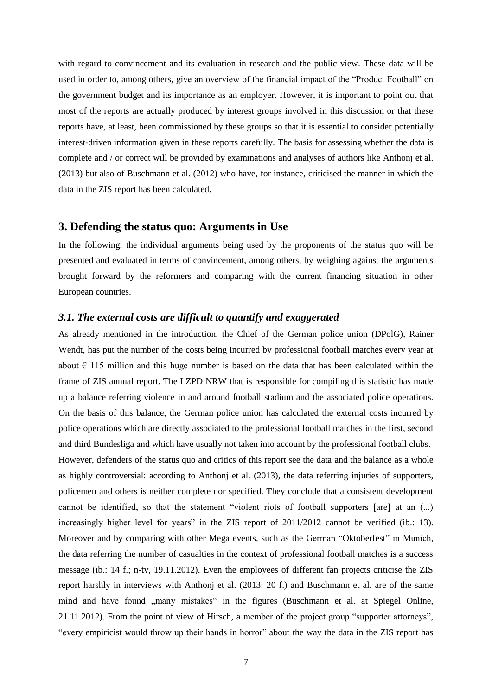with regard to convincement and its evaluation in research and the public view. These data will be used in order to, among others, give an overview of the financial impact of the "Product Football" on the government budget and its importance as an employer. However, it is important to point out that most of the reports are actually produced by interest groups involved in this discussion or that these reports have, at least, been commissioned by these groups so that it is essential to consider potentially interest-driven information given in these reports carefully. The basis for assessing whether the data is complete and / or correct will be provided by examinations and analyses of authors like Anthonj et al. (2013) but also of Buschmann et al. (2012) who have, for instance, criticised the manner in which the data in the ZIS report has been calculated.

#### <span id="page-9-0"></span>**3. Defending the status quo: Arguments in Use**

In the following, the individual arguments being used by the proponents of the status quo will be presented and evaluated in terms of convincement, among others, by weighing against the arguments brought forward by the reformers and comparing with the current financing situation in other European countries.

#### <span id="page-9-1"></span>*3.1. The external costs are difficult to quantify and exaggerated*

As already mentioned in the introduction, the Chief of the German police union (DPolG), Rainer Wendt, has put the number of the costs being incurred by professional football matches every year at about  $\epsilon$  115 million and this huge number is based on the data that has been calculated within the frame of ZIS annual report. The LZPD NRW that is responsible for compiling this statistic has made up a balance referring violence in and around football stadium and the associated police operations. On the basis of this balance, the German police union has calculated the external costs incurred by police operations which are directly associated to the professional football matches in the first, second and third Bundesliga and which have usually not taken into account by the professional football clubs. However, defenders of the status quo and critics of this report see the data and the balance as a whole as highly controversial: according to Anthonj et al. (2013), the data referring injuries of supporters, policemen and others is neither complete nor specified. They conclude that a consistent development cannot be identified, so that the statement "violent riots of football supporters [are] at an (...) increasingly higher level for years" in the ZIS report of 2011/2012 cannot be verified (ib.: 13). Moreover and by comparing with other Mega events, such as the German "Oktoberfest" in Munich, the data referring the number of casualties in the context of professional football matches is a success message (ib.: 14 f.; n-tv, 19.11.2012). Even the employees of different fan projects criticise the ZIS report harshly in interviews with Anthonj et al. (2013: 20 f.) and Buschmann et al. are of the same mind and have found "many mistakes" in the figures (Buschmann et al. at Spiegel Online, 21.11.2012). From the point of view of Hirsch, a member of the project group "supporter attorneys", "every empiricist would throw up their hands in horror" about the way the data in the ZIS report has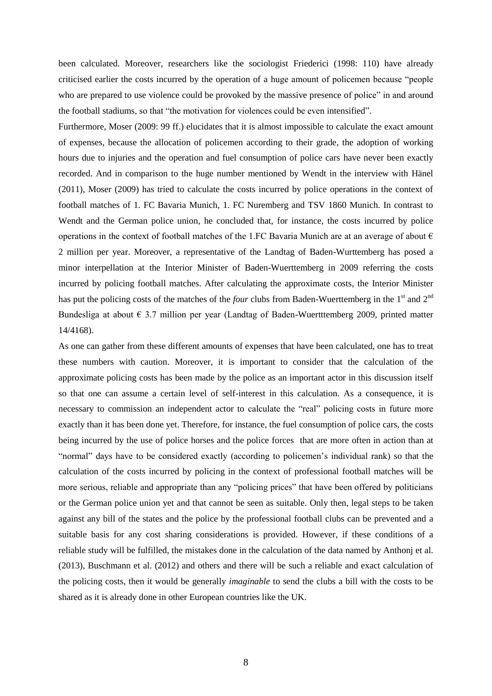been calculated. Moreover, researchers like the sociologist Friederici (1998: 110) have already criticised earlier the costs incurred by the operation of a huge amount of policemen because "people who are prepared to use violence could be provoked by the massive presence of police" in and around the football stadiums, so that "the motivation for violences could be even intensified".

Furthermore, Moser (2009: 99 ff.) elucidates that it is almost impossible to calculate the exact amount of expenses, because the allocation of policemen according to their grade, the adoption of working hours due to injuries and the operation and fuel consumption of police cars have never been exactly recorded. And in comparison to the huge number mentioned by Wendt in the interview with Hänel (2011), Moser (2009) has tried to calculate the costs incurred by police operations in the context of football matches of 1. FC Bavaria Munich, 1. FC Nuremberg and TSV 1860 Munich. In contrast to Wendt and the German police union, he concluded that, for instance, the costs incurred by police operations in the context of football matches of the 1.FC Bavaria Munich are at an average of about  $\epsilon$ 2 million per year. Moreover, a representative of the Landtag of Baden-Wurttemberg has posed a minor interpellation at the Interior Minister of Baden-Wuerttemberg in 2009 referring the costs incurred by policing football matches. After calculating the approximate costs, the Interior Minister has put the policing costs of the matches of the *four* clubs from Baden-Wuerttemberg in the  $1<sup>st</sup>$  and  $2<sup>nd</sup>$ Bundesliga at about  $\epsilon$  3.7 million per year (Landtag of Baden-Wuertttemberg 2009, printed matter 14/4168).

As one can gather from these different amounts of expenses that have been calculated, one has to treat these numbers with caution. Moreover, it is important to consider that the calculation of the approximate policing costs has been made by the police as an important actor in this discussion itself so that one can assume a certain level of self-interest in this calculation. As a consequence, it is necessary to commission an independent actor to calculate the "real" policing costs in future more exactly than it has been done yet. Therefore, for instance, the fuel consumption of police cars, the costs being incurred by the use of police horses and the police forces that are more often in action than at "normal" days have to be considered exactly (according to policemen's individual rank) so that the calculation of the costs incurred by policing in the context of professional football matches will be more serious, reliable and appropriate than any "policing prices" that have been offered by politicians or the German police union yet and that cannot be seen as suitable. Only then, legal steps to be taken against any bill of the states and the police by the professional football clubs can be prevented and a suitable basis for any cost sharing considerations is provided. However, if these conditions of a reliable study will be fulfilled, the mistakes done in the calculation of the data named by Anthonj et al. (2013), Buschmann et al. (2012) and others and there will be such a reliable and exact calculation of the policing costs, then it would be generally *imaginable* to send the clubs a bill with the costs to be shared as it is already done in other European countries like the UK.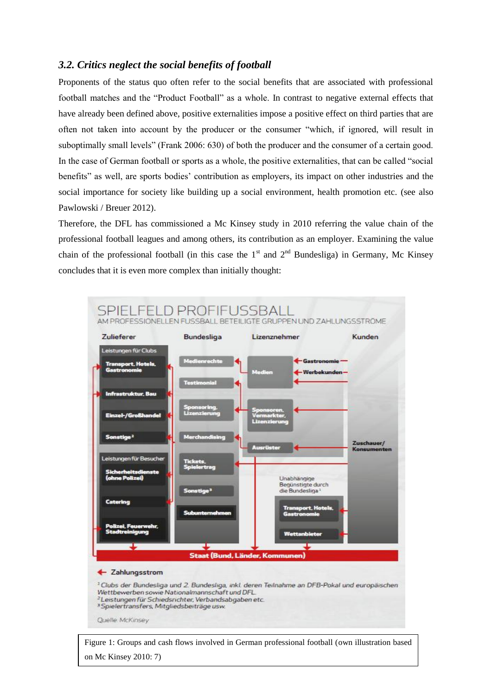# <span id="page-11-0"></span>*3.2. Critics neglect the social benefits of football*

Proponents of the status quo often refer to the social benefits that are associated with professional football matches and the "Product Football" as a whole. In contrast to negative external effects that have already been defined above, positive externalities impose a positive effect on third parties that are often not taken into account by the producer or the consumer "which, if ignored, will result in suboptimally small levels" (Frank 2006: 630) of both the producer and the consumer of a certain good. In the case of German football or sports as a whole, the positive externalities, that can be called "social benefits" as well, are sports bodies' contribution as employers, its impact on other industries and the social importance for society like building up a social environment, health promotion etc. (see also Pawlowski / Breuer 2012).

Therefore, the DFL has commissioned a Mc Kinsey study in 2010 referring the value chain of the professional football leagues and among others, its contribution as an employer. Examining the value chain of the professional football (in this case the  $1<sup>st</sup>$  and  $2<sup>nd</sup>$  Bundesliga) in Germany, Mc Kinsey concludes that it is even more complex than initially thought:



9 Figure 1: Groups and cash flows involved in German professional football (own illustration based on Mc Kinsey 2010: 7)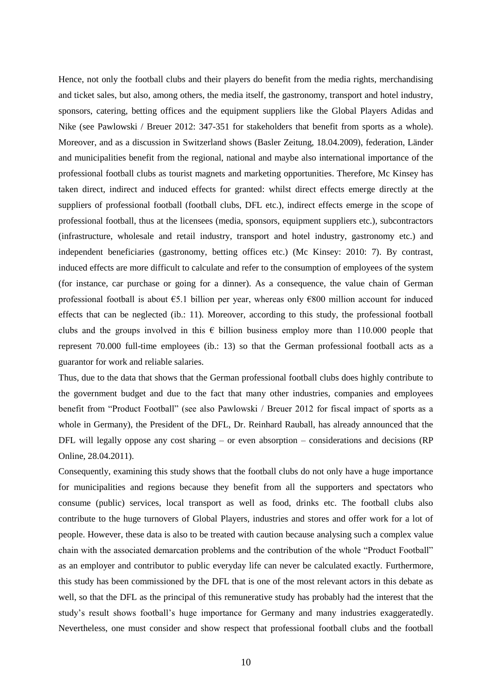Hence, not only the football clubs and their players do benefit from the media rights, merchandising and ticket sales, but also, among others, the media itself, the gastronomy, transport and hotel industry, sponsors, catering, betting offices and the equipment suppliers like the Global Players Adidas and Nike (see Pawlowski / Breuer 2012: 347-351 for stakeholders that benefit from sports as a whole). Moreover, and as a discussion in Switzerland shows (Basler Zeitung, 18.04.2009), federation, Länder and municipalities benefit from the regional, national and maybe also international importance of the professional football clubs as tourist magnets and marketing opportunities. Therefore, Mc Kinsey has taken direct, indirect and induced effects for granted: whilst direct effects emerge directly at the suppliers of professional football (football clubs, DFL etc.), indirect effects emerge in the scope of professional football, thus at the licensees (media, sponsors, equipment suppliers etc.), subcontractors (infrastructure, wholesale and retail industry, transport and hotel industry, gastronomy etc.) and independent beneficiaries (gastronomy, betting offices etc.) (Mc Kinsey: 2010: 7). By contrast, induced effects are more difficult to calculate and refer to the consumption of employees of the system (for instance, car purchase or going for a dinner). As a consequence, the value chain of German professional football is about  $\epsilon$ 5.1 billion per year, whereas only  $\epsilon$ 800 million account for induced effects that can be neglected (ib.: 11). Moreover, according to this study, the professional football clubs and the groups involved in this  $\epsilon$  billion business employ more than 110.000 people that represent 70.000 full-time employees (ib.: 13) so that the German professional football acts as a guarantor for work and reliable salaries.

Thus, due to the data that shows that the German professional football clubs does highly contribute to the government budget and due to the fact that many other industries, companies and employees benefit from "Product Football" (see also Pawlowski / Breuer 2012 for fiscal impact of sports as a whole in Germany), the President of the DFL, Dr. Reinhard Rauball, has already announced that the DFL will legally oppose any cost sharing – or even absorption – considerations and decisions (RP Online, 28.04.2011).

Consequently, examining this study shows that the football clubs do not only have a huge importance for municipalities and regions because they benefit from all the supporters and spectators who consume (public) services, local transport as well as food, drinks etc. The football clubs also contribute to the huge turnovers of Global Players, industries and stores and offer work for a lot of people. However, these data is also to be treated with caution because analysing such a complex value chain with the associated demarcation problems and the contribution of the whole "Product Football" as an employer and contributor to public everyday life can never be calculated exactly. Furthermore, this study has been commissioned by the DFL that is one of the most relevant actors in this debate as well, so that the DFL as the principal of this remunerative study has probably had the interest that the study's result shows football's huge importance for Germany and many industries exaggeratedly. Nevertheless, one must consider and show respect that professional football clubs and the football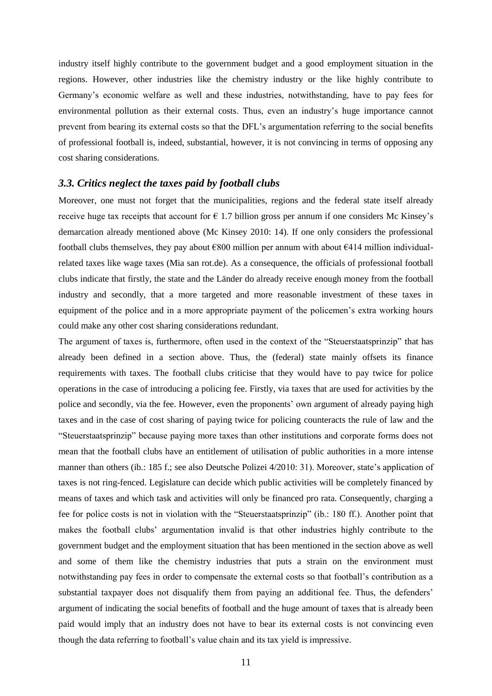industry itself highly contribute to the government budget and a good employment situation in the regions. However, other industries like the chemistry industry or the like highly contribute to Germany's economic welfare as well and these industries, notwithstanding, have to pay fees for environmental pollution as their external costs. Thus, even an industry's huge importance cannot prevent from bearing its external costs so that the DFL's argumentation referring to the social benefits of professional football is, indeed, substantial, however, it is not convincing in terms of opposing any cost sharing considerations.

#### <span id="page-13-0"></span>*3.3. Critics neglect the taxes paid by football clubs*

Moreover, one must not forget that the municipalities, regions and the federal state itself already receive huge tax receipts that account for  $\epsilon$  1.7 billion gross per annum if one considers Mc Kinsey's demarcation already mentioned above (Mc Kinsey 2010: 14). If one only considers the professional football clubs themselves, they pay about  $\epsilon$ 800 million per annum with about  $\epsilon$ 414 million individualrelated taxes like wage taxes (Mia san rot.de). As a consequence, the officials of professional football clubs indicate that firstly, the state and the Länder do already receive enough money from the football industry and secondly, that a more targeted and more reasonable investment of these taxes in equipment of the police and in a more appropriate payment of the policemen's extra working hours could make any other cost sharing considerations redundant.

The argument of taxes is, furthermore, often used in the context of the "Steuerstaatsprinzip" that has already been defined in a section above. Thus, the (federal) state mainly offsets its finance requirements with taxes. The football clubs criticise that they would have to pay twice for police operations in the case of introducing a policing fee. Firstly, via taxes that are used for activities by the police and secondly, via the fee. However, even the proponents' own argument of already paying high taxes and in the case of cost sharing of paying twice for policing counteracts the rule of law and the "Steuerstaatsprinzip" because paying more taxes than other institutions and corporate forms does not mean that the football clubs have an entitlement of utilisation of public authorities in a more intense manner than others (ib.: 185 f.; see also Deutsche Polizei 4/2010: 31). Moreover, state's application of taxes is not ring-fenced. Legislature can decide which public activities will be completely financed by means of taxes and which task and activities will only be financed pro rata. Consequently, charging a fee for police costs is not in violation with the "Steuerstaatsprinzip" (ib.: 180 ff.). Another point that makes the football clubs' argumentation invalid is that other industries highly contribute to the government budget and the employment situation that has been mentioned in the section above as well and some of them like the chemistry industries that puts a strain on the environment must notwithstanding pay fees in order to compensate the external costs so that football's contribution as a substantial taxpayer does not disqualify them from paying an additional fee. Thus, the defenders' argument of indicating the social benefits of football and the huge amount of taxes that is already been paid would imply that an industry does not have to bear its external costs is not convincing even though the data referring to football's value chain and its tax yield is impressive.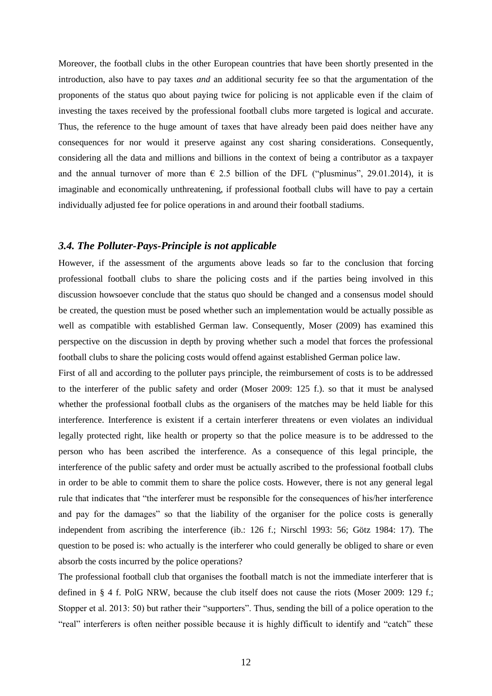Moreover, the football clubs in the other European countries that have been shortly presented in the introduction, also have to pay taxes *and* an additional security fee so that the argumentation of the proponents of the status quo about paying twice for policing is not applicable even if the claim of investing the taxes received by the professional football clubs more targeted is logical and accurate. Thus, the reference to the huge amount of taxes that have already been paid does neither have any consequences for nor would it preserve against any cost sharing considerations. Consequently, considering all the data and millions and billions in the context of being a contributor as a taxpayer and the annual turnover of more than  $\epsilon$  2.5 billion of the DFL ("plusminus", 29.01.2014), it is imaginable and economically unthreatening, if professional football clubs will have to pay a certain individually adjusted fee for police operations in and around their football stadiums.

#### <span id="page-14-0"></span>*3.4. The Polluter-Pays-Principle is not applicable*

However, if the assessment of the arguments above leads so far to the conclusion that forcing professional football clubs to share the policing costs and if the parties being involved in this discussion howsoever conclude that the status quo should be changed and a consensus model should be created, the question must be posed whether such an implementation would be actually possible as well as compatible with established German law. Consequently, Moser (2009) has examined this perspective on the discussion in depth by proving whether such a model that forces the professional football clubs to share the policing costs would offend against established German police law.

First of all and according to the polluter pays principle, the reimbursement of costs is to be addressed to the interferer of the public safety and order (Moser 2009: 125 f.). so that it must be analysed whether the professional football clubs as the organisers of the matches may be held liable for this interference. Interference is existent if a certain interferer threatens or even violates an individual legally protected right, like health or property so that the police measure is to be addressed to the person who has been ascribed the interference. As a consequence of this legal principle, the interference of the public safety and order must be actually ascribed to the professional football clubs in order to be able to commit them to share the police costs. However, there is not any general legal rule that indicates that "the interferer must be responsible for the consequences of his/her interference and pay for the damages" so that the liability of the organiser for the police costs is generally independent from ascribing the interference (ib.: 126 f.; Nirschl 1993: 56; Götz 1984: 17). The question to be posed is: who actually is the interferer who could generally be obliged to share or even absorb the costs incurred by the police operations?

The professional football club that organises the football match is not the immediate interferer that is defined in § 4 f. PolG NRW, because the club itself does not cause the riots (Moser 2009: 129 f.; Stopper et al. 2013: 50) but rather their "supporters". Thus, sending the bill of a police operation to the "real" interferers is often neither possible because it is highly difficult to identify and "catch" these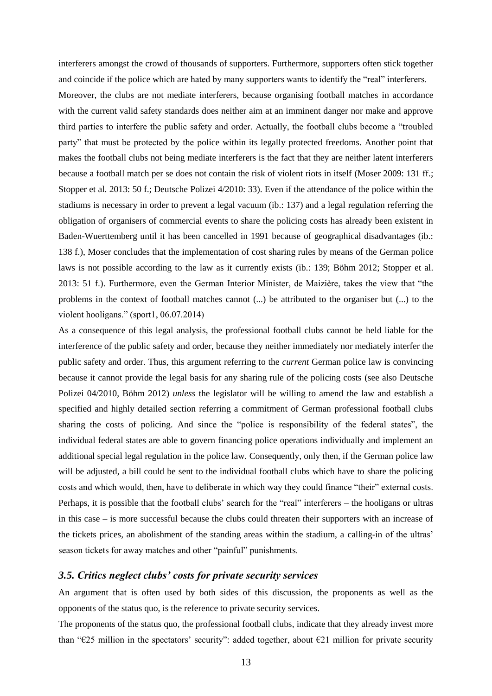interferers amongst the crowd of thousands of supporters. Furthermore, supporters often stick together and coincide if the police which are hated by many supporters wants to identify the "real" interferers.

Moreover, the clubs are not mediate interferers, because organising football matches in accordance with the current valid safety standards does neither aim at an imminent danger nor make and approve third parties to interfere the public safety and order. Actually, the football clubs become a "troubled party" that must be protected by the police within its legally protected freedoms. Another point that makes the football clubs not being mediate interferers is the fact that they are neither latent interferers because a football match per se does not contain the risk of violent riots in itself (Moser 2009: 131 ff.; Stopper et al. 2013: 50 f.; Deutsche Polizei 4/2010: 33). Even if the attendance of the police within the stadiums is necessary in order to prevent a legal vacuum (ib.: 137) and a legal regulation referring the obligation of organisers of commercial events to share the policing costs has already been existent in Baden-Wuerttemberg until it has been cancelled in 1991 because of geographical disadvantages (ib.: 138 f.), Moser concludes that the implementation of cost sharing rules by means of the German police laws is not possible according to the law as it currently exists (ib.: 139; Böhm 2012; Stopper et al. 2013: 51 f.). Furthermore, even the German Interior Minister, de Maizière, takes the view that "the problems in the context of football matches cannot (...) be attributed to the organiser but (...) to the violent hooligans." (sport1, 06.07.2014)

As a consequence of this legal analysis, the professional football clubs cannot be held liable for the interference of the public safety and order, because they neither immediately nor mediately interfer the public safety and order. Thus, this argument referring to the *current* German police law is convincing because it cannot provide the legal basis for any sharing rule of the policing costs (see also Deutsche Polizei 04/2010, Böhm 2012) *unless* the legislator will be willing to amend the law and establish a specified and highly detailed section referring a commitment of German professional football clubs sharing the costs of policing. And since the "police is responsibility of the federal states", the individual federal states are able to govern financing police operations individually and implement an additional special legal regulation in the police law. Consequently, only then, if the German police law will be adjusted, a bill could be sent to the individual football clubs which have to share the policing costs and which would, then, have to deliberate in which way they could finance "their" external costs. Perhaps, it is possible that the football clubs' search for the "real" interferers – the hooligans or ultras in this case – is more successful because the clubs could threaten their supporters with an increase of the tickets prices, an abolishment of the standing areas within the stadium, a calling-in of the ultras' season tickets for away matches and other "painful" punishments.

#### <span id="page-15-0"></span>*3.5. Critics neglect clubs' costs for private security services*

An argument that is often used by both sides of this discussion, the proponents as well as the opponents of the status quo, is the reference to private security services.

The proponents of the status quo, the professional football clubs, indicate that they already invest more than "€25 million in the spectators' security": added together, about  $E$ 21 million for private security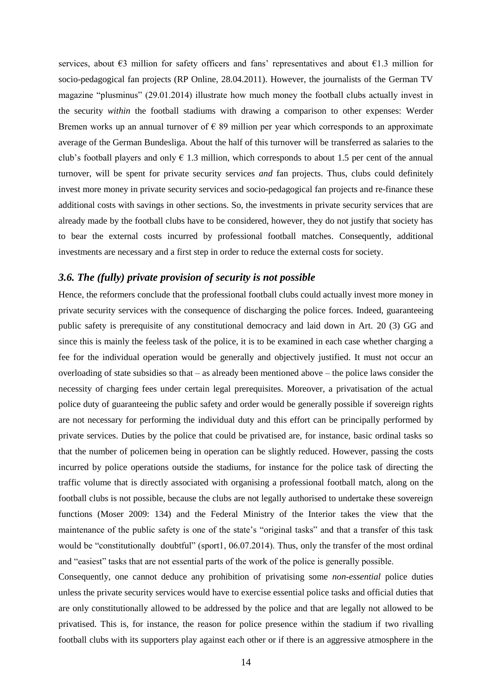services, about €3 million for safety officers and fans' representatives and about €1.3 million for socio-pedagogical fan projects (RP Online, 28.04.2011). However, the journalists of the German TV magazine "plusminus" (29.01.2014) illustrate how much money the football clubs actually invest in the security *within* the football stadiums with drawing a comparison to other expenses: Werder Bremen works up an annual turnover of  $\epsilon$  89 million per year which corresponds to an approximate average of the German Bundesliga. About the half of this turnover will be transferred as salaries to the club's football players and only  $\epsilon$  1.3 million, which corresponds to about 1.5 per cent of the annual turnover, will be spent for private security services *and* fan projects. Thus, clubs could definitely invest more money in private security services and socio-pedagogical fan projects and re-finance these additional costs with savings in other sections. So, the investments in private security services that are already made by the football clubs have to be considered, however, they do not justify that society has to bear the external costs incurred by professional football matches. Consequently, additional investments are necessary and a first step in order to reduce the external costs for society.

## <span id="page-16-0"></span>*3.6. The (fully) private provision of security is not possible*

Hence, the reformers conclude that the professional football clubs could actually invest more money in private security services with the consequence of discharging the police forces. Indeed, guaranteeing public safety is prerequisite of any constitutional democracy and laid down in Art. 20 (3) GG and since this is mainly the feeless task of the police, it is to be examined in each case whether charging a fee for the individual operation would be generally and objectively justified. It must not occur an overloading of state subsidies so that – as already been mentioned above – the police laws consider the necessity of charging fees under certain legal prerequisites. Moreover, a privatisation of the actual police duty of guaranteeing the public safety and order would be generally possible if sovereign rights are not necessary for performing the individual duty and this effort can be principally performed by private services. Duties by the police that could be privatised are, for instance, basic ordinal tasks so that the number of policemen being in operation can be slightly reduced. However, passing the costs incurred by police operations outside the stadiums, for instance for the police task of directing the traffic volume that is directly associated with organising a professional football match, along on the football clubs is not possible, because the clubs are not legally authorised to undertake these sovereign functions (Moser 2009: 134) and the Federal Ministry of the Interior takes the view that the maintenance of the public safety is one of the state's "original tasks" and that a transfer of this task would be "constitutionally doubtful" (sport1, 06.07.2014). Thus, only the transfer of the most ordinal and "easiest" tasks that are not essential parts of the work of the police is generally possible.

Consequently, one cannot deduce any prohibition of privatising some *non-essential* police duties unless the private security services would have to exercise essential police tasks and official duties that are only constitutionally allowed to be addressed by the police and that are legally not allowed to be privatised. This is, for instance, the reason for police presence within the stadium if two rivalling football clubs with its supporters play against each other or if there is an aggressive atmosphere in the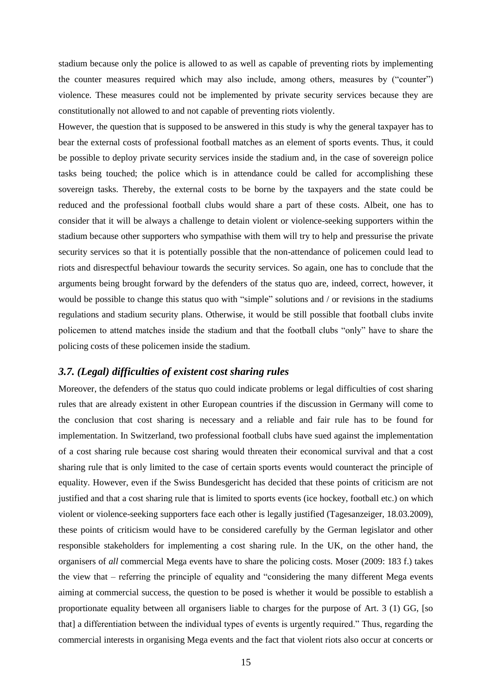stadium because only the police is allowed to as well as capable of preventing riots by implementing the counter measures required which may also include, among others, measures by ("counter") violence. These measures could not be implemented by private security services because they are constitutionally not allowed to and not capable of preventing riots violently.

However, the question that is supposed to be answered in this study is why the general taxpayer has to bear the external costs of professional football matches as an element of sports events. Thus, it could be possible to deploy private security services inside the stadium and, in the case of sovereign police tasks being touched; the police which is in attendance could be called for accomplishing these sovereign tasks. Thereby, the external costs to be borne by the taxpayers and the state could be reduced and the professional football clubs would share a part of these costs. Albeit, one has to consider that it will be always a challenge to detain violent or violence-seeking supporters within the stadium because other supporters who sympathise with them will try to help and pressurise the private security services so that it is potentially possible that the non-attendance of policemen could lead to riots and disrespectful behaviour towards the security services. So again, one has to conclude that the arguments being brought forward by the defenders of the status quo are, indeed, correct, however, it would be possible to change this status quo with "simple" solutions and / or revisions in the stadiums regulations and stadium security plans. Otherwise, it would be still possible that football clubs invite policemen to attend matches inside the stadium and that the football clubs "only" have to share the policing costs of these policemen inside the stadium.

#### <span id="page-17-0"></span>*3.7. (Legal) difficulties of existent cost sharing rules*

Moreover, the defenders of the status quo could indicate problems or legal difficulties of cost sharing rules that are already existent in other European countries if the discussion in Germany will come to the conclusion that cost sharing is necessary and a reliable and fair rule has to be found for implementation. In Switzerland, two professional football clubs have sued against the implementation of a cost sharing rule because cost sharing would threaten their economical survival and that a cost sharing rule that is only limited to the case of certain sports events would counteract the principle of equality. However, even if the Swiss Bundesgericht has decided that these points of criticism are not justified and that a cost sharing rule that is limited to sports events (ice hockey, football etc.) on which violent or violence-seeking supporters face each other is legally justified (Tagesanzeiger, 18.03.2009), these points of criticism would have to be considered carefully by the German legislator and other responsible stakeholders for implementing a cost sharing rule. In the UK, on the other hand, the organisers of *all* commercial Mega events have to share the policing costs. Moser (2009: 183 f.) takes the view that – referring the principle of equality and "considering the many different Mega events aiming at commercial success, the question to be posed is whether it would be possible to establish a proportionate equality between all organisers liable to charges for the purpose of Art. 3 (1) GG, [so that] a differentiation between the individual types of events is urgently required." Thus, regarding the commercial interests in organising Mega events and the fact that violent riots also occur at concerts or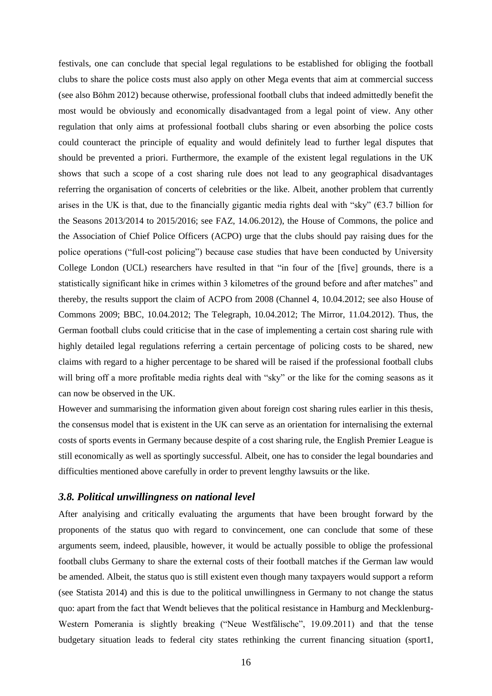festivals, one can conclude that special legal regulations to be established for obliging the football clubs to share the police costs must also apply on other Mega events that aim at commercial success (see also Böhm 2012) because otherwise, professional football clubs that indeed admittedly benefit the most would be obviously and economically disadvantaged from a legal point of view. Any other regulation that only aims at professional football clubs sharing or even absorbing the police costs could counteract the principle of equality and would definitely lead to further legal disputes that should be prevented a priori. Furthermore, the example of the existent legal regulations in the UK shows that such a scope of a cost sharing rule does not lead to any geographical disadvantages referring the organisation of concerts of celebrities or the like. Albeit, another problem that currently arises in the UK is that, due to the financially gigantic media rights deal with "sky" ( $\epsilon$ 3.7 billion for the Seasons 2013/2014 to 2015/2016; see FAZ, 14.06.2012), the House of Commons, the police and the Association of Chief Police Officers (ACPO) urge that the clubs should pay raising dues for the police operations ("full-cost policing") because case studies that have been conducted by University College London (UCL) researchers have resulted in that "in four of the [five] grounds, there is a statistically significant hike in crimes within 3 kilometres of the ground before and after matches" and thereby, the results support the claim of ACPO from 2008 (Channel 4, 10.04.2012; see also House of Commons 2009; BBC, 10.04.2012; The Telegraph, 10.04.2012; The Mirror, 11.04.2012). Thus, the German football clubs could criticise that in the case of implementing a certain cost sharing rule with highly detailed legal regulations referring a certain percentage of policing costs to be shared, new claims with regard to a higher percentage to be shared will be raised if the professional football clubs will bring off a more profitable media rights deal with "sky" or the like for the coming seasons as it can now be observed in the UK.

However and summarising the information given about foreign cost sharing rules earlier in this thesis, the consensus model that is existent in the UK can serve as an orientation for internalising the external costs of sports events in Germany because despite of a cost sharing rule, the English Premier League is still economically as well as sportingly successful. Albeit, one has to consider the legal boundaries and difficulties mentioned above carefully in order to prevent lengthy lawsuits or the like.

#### <span id="page-18-0"></span>*3.8. Political unwillingness on national level*

After analyising and critically evaluating the arguments that have been brought forward by the proponents of the status quo with regard to convincement, one can conclude that some of these arguments seem, indeed, plausible, however, it would be actually possible to oblige the professional football clubs Germany to share the external costs of their football matches if the German law would be amended. Albeit, the status quo is still existent even though many taxpayers would support a reform (see Statista 2014) and this is due to the political unwillingness in Germany to not change the status quo: apart from the fact that Wendt believes that the political resistance in Hamburg and Mecklenburg-Western Pomerania is slightly breaking ("Neue Westfälische", 19.09.2011) and that the tense budgetary situation leads to federal city states rethinking the current financing situation (sport1,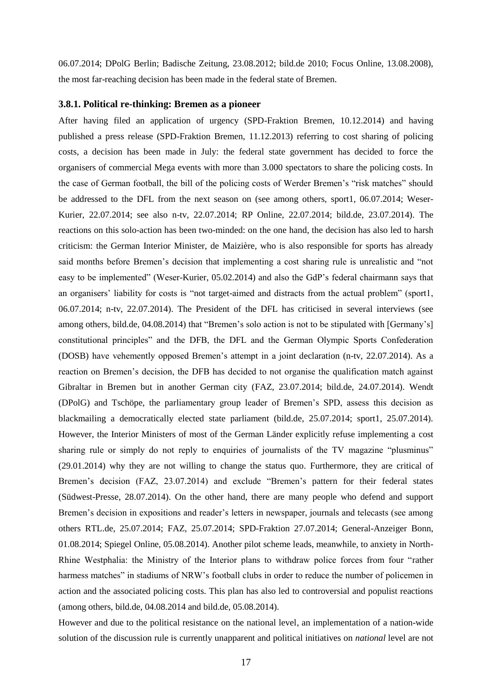06.07.2014; DPolG Berlin; Badische Zeitung, 23.08.2012; bild.de 2010; Focus Online, 13.08.2008), the most far-reaching decision has been made in the federal state of Bremen.

#### <span id="page-19-0"></span>**3.8.1. Political re-thinking: Bremen as a pioneer**

After having filed an application of urgency (SPD-Fraktion Bremen, 10.12.2014) and having published a press release (SPD-Fraktion Bremen, 11.12.2013) referring to cost sharing of policing costs, a decision has been made in July: the federal state government has decided to force the organisers of commercial Mega events with more than 3.000 spectators to share the policing costs. In the case of German football, the bill of the policing costs of Werder Bremen's "risk matches" should be addressed to the DFL from the next season on (see among others, sport1, 06.07.2014; Weser-Kurier, 22.07.2014; see also n-tv, 22.07.2014; RP Online, 22.07.2014; bild.de, 23.07.2014). The reactions on this solo-action has been two-minded: on the one hand, the decision has also led to harsh criticism: the German Interior Minister, de Maizière, who is also responsible for sports has already said months before Bremen's decision that implementing a cost sharing rule is unrealistic and "not easy to be implemented" (Weser-Kurier, 05.02.2014) and also the GdP's federal chairmann says that an organisers' liability for costs is "not target-aimed and distracts from the actual problem" (sport1, 06.07.2014; n-tv, 22.07.2014). The President of the DFL has criticised in several interviews (see among others, bild.de, 04.08.2014) that "Bremen's solo action is not to be stipulated with [Germany's] constitutional principles" and the DFB, the DFL and the German Olympic Sports Confederation (DOSB) have vehemently opposed Bremen's attempt in a joint declaration (n-tv, 22.07.2014). As a reaction on Bremen's decision, the DFB has decided to not organise the qualification match against Gibraltar in Bremen but in another German city (FAZ, 23.07.2014; bild.de, 24.07.2014). Wendt (DPolG) and Tschöpe, the parliamentary group leader of Bremen's SPD, assess this decision as blackmailing a democratically elected state parliament (bild.de, 25.07.2014; sport1, 25.07.2014). However, the Interior Ministers of most of the German Länder explicitly refuse implementing a cost sharing rule or simply do not reply to enquiries of journalists of the TV magazine "plusminus" (29.01.2014) why they are not willing to change the status quo. Furthermore, they are critical of Bremen's decision (FAZ, 23.07.2014) and exclude "Bremen's pattern for their federal states (Südwest-Presse, 28.07.2014). On the other hand, there are many people who defend and support Bremen's decision in expositions and reader's letters in newspaper, journals and telecasts (see among others RTL.de, 25.07.2014; FAZ, 25.07.2014; SPD-Fraktion 27.07.2014; General-Anzeiger Bonn, 01.08.2014; Spiegel Online, 05.08.2014). Another pilot scheme leads, meanwhile, to anxiety in North-Rhine Westphalia: the Ministry of the Interior plans to withdraw police forces from four "rather harmess matches" in stadiums of NRW's football clubs in order to reduce the number of policemen in action and the associated policing costs. This plan has also led to controversial and populist reactions (among others, bild.de, 04.08.2014 and bild.de, 05.08.2014).

However and due to the political resistance on the national level, an implementation of a nation-wide solution of the discussion rule is currently unapparent and political initiatives on *national* level are not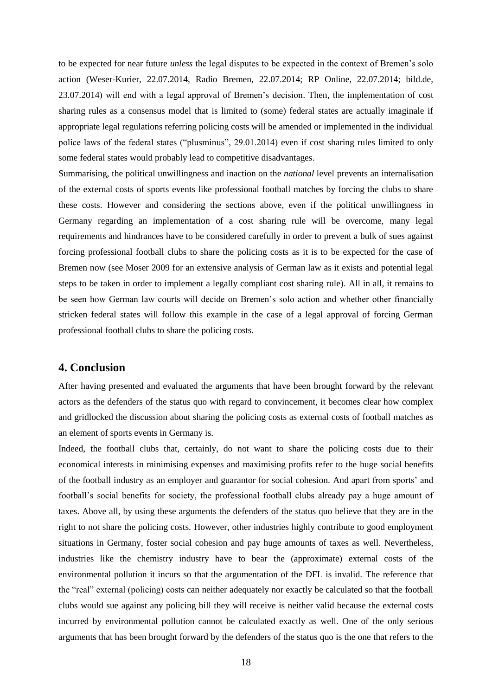to be expected for near future *unless* the legal disputes to be expected in the context of Bremen's solo action (Weser-Kurier, 22.07.2014, Radio Bremen, 22.07.2014; RP Online, 22.07.2014; bild.de, 23.07.2014) will end with a legal approval of Bremen's decision. Then, the implementation of cost sharing rules as a consensus model that is limited to (some) federal states are actually imaginale if appropriate legal regulations referring policing costs will be amended or implemented in the individual police laws of the federal states ("plusminus", 29.01.2014) even if cost sharing rules limited to only some federal states would probably lead to competitive disadvantages.

Summarising, the political unwillingness and inaction on the *national* level prevents an internalisation of the external costs of sports events like professional football matches by forcing the clubs to share these costs. However and considering the sections above, even if the political unwillingness in Germany regarding an implementation of a cost sharing rule will be overcome, many legal requirements and hindrances have to be considered carefully in order to prevent a bulk of sues against forcing professional football clubs to share the policing costs as it is to be expected for the case of Bremen now (see Moser 2009 for an extensive analysis of German law as it exists and potential legal steps to be taken in order to implement a legally compliant cost sharing rule). All in all, it remains to be seen how German law courts will decide on Bremen's solo action and whether other financially stricken federal states will follow this example in the case of a legal approval of forcing German professional football clubs to share the policing costs.

# <span id="page-20-0"></span>**4. Conclusion**

After having presented and evaluated the arguments that have been brought forward by the relevant actors as the defenders of the status quo with regard to convincement, it becomes clear how complex and gridlocked the discussion about sharing the policing costs as external costs of football matches as an element of sports events in Germany is.

Indeed, the football clubs that, certainly, do not want to share the policing costs due to their economical interests in minimising expenses and maximising profits refer to the huge social benefits of the football industry as an employer and guarantor for social cohesion. And apart from sports' and football's social benefits for society, the professional football clubs already pay a huge amount of taxes. Above all, by using these arguments the defenders of the status quo believe that they are in the right to not share the policing costs. However, other industries highly contribute to good employment situations in Germany, foster social cohesion and pay huge amounts of taxes as well. Nevertheless, industries like the chemistry industry have to bear the (approximate) external costs of the environmental pollution it incurs so that the argumentation of the DFL is invalid. The reference that the "real" external (policing) costs can neither adequately nor exactly be calculated so that the football clubs would sue against any policing bill they will receive is neither valid because the external costs incurred by environmental pollution cannot be calculated exactly as well. One of the only serious arguments that has been brought forward by the defenders of the status quo is the one that refers to the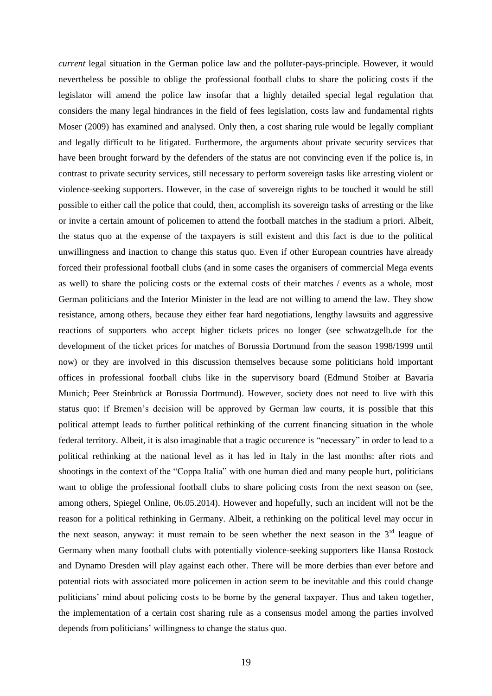*current* legal situation in the German police law and the polluter-pays-principle. However, it would nevertheless be possible to oblige the professional football clubs to share the policing costs if the legislator will amend the police law insofar that a highly detailed special legal regulation that considers the many legal hindrances in the field of fees legislation, costs law and fundamental rights Moser (2009) has examined and analysed. Only then, a cost sharing rule would be legally compliant and legally difficult to be litigated. Furthermore, the arguments about private security services that have been brought forward by the defenders of the status are not convincing even if the police is, in contrast to private security services, still necessary to perform sovereign tasks like arresting violent or violence-seeking supporters. However, in the case of sovereign rights to be touched it would be still possible to either call the police that could, then, accomplish its sovereign tasks of arresting or the like or invite a certain amount of policemen to attend the football matches in the stadium a priori. Albeit, the status quo at the expense of the taxpayers is still existent and this fact is due to the political unwillingness and inaction to change this status quo. Even if other European countries have already forced their professional football clubs (and in some cases the organisers of commercial Mega events as well) to share the policing costs or the external costs of their matches / events as a whole, most German politicians and the Interior Minister in the lead are not willing to amend the law. They show resistance, among others, because they either fear hard negotiations, lengthy lawsuits and aggressive reactions of supporters who accept higher tickets prices no longer (see schwatzgelb.de for the development of the ticket prices for matches of Borussia Dortmund from the season 1998/1999 until now) or they are involved in this discussion themselves because some politicians hold important offices in professional football clubs like in the supervisory board (Edmund Stoiber at Bavaria Munich; Peer Steinbrück at Borussia Dortmund). However, society does not need to live with this status quo: if Bremen's decision will be approved by German law courts, it is possible that this political attempt leads to further political rethinking of the current financing situation in the whole federal territory. Albeit, it is also imaginable that a tragic occurence is "necessary" in order to lead to a political rethinking at the national level as it has led in Italy in the last months: after riots and shootings in the context of the "Coppa Italia" with one human died and many people hurt, politicians want to oblige the professional football clubs to share policing costs from the next season on (see, among others, Spiegel Online, 06.05.2014). However and hopefully, such an incident will not be the reason for a political rethinking in Germany. Albeit, a rethinking on the political level may occur in the next season, anyway: it must remain to be seen whether the next season in the  $3<sup>rd</sup>$  league of Germany when many football clubs with potentially violence-seeking supporters like Hansa Rostock and Dynamo Dresden will play against each other. There will be more derbies than ever before and potential riots with associated more policemen in action seem to be inevitable and this could change politicians' mind about policing costs to be borne by the general taxpayer. Thus and taken together, the implementation of a certain cost sharing rule as a consensus model among the parties involved depends from politicians' willingness to change the status quo.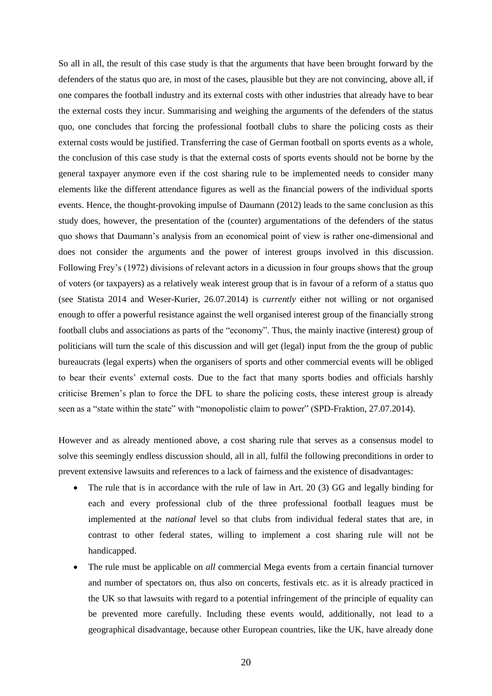So all in all, the result of this case study is that the arguments that have been brought forward by the defenders of the status quo are, in most of the cases, plausible but they are not convincing, above all, if one compares the football industry and its external costs with other industries that already have to bear the external costs they incur. Summarising and weighing the arguments of the defenders of the status quo, one concludes that forcing the professional football clubs to share the policing costs as their external costs would be justified. Transferring the case of German football on sports events as a whole, the conclusion of this case study is that the external costs of sports events should not be borne by the general taxpayer anymore even if the cost sharing rule to be implemented needs to consider many elements like the different attendance figures as well as the financial powers of the individual sports events. Hence, the thought-provoking impulse of Daumann (2012) leads to the same conclusion as this study does, however, the presentation of the (counter) argumentations of the defenders of the status quo shows that Daumann's analysis from an economical point of view is rather one-dimensional and does not consider the arguments and the power of interest groups involved in this discussion. Following Frey's (1972) divisions of relevant actors in a dicussion in four groups shows that the group of voters (or taxpayers) as a relatively weak interest group that is in favour of a reform of a status quo (see Statista 2014 and Weser-Kurier, 26.07.2014) is *currently* either not willing or not organised enough to offer a powerful resistance against the well organised interest group of the financially strong football clubs and associations as parts of the "economy". Thus, the mainly inactive (interest) group of politicians will turn the scale of this discussion and will get (legal) input from the the group of public bureaucrats (legal experts) when the organisers of sports and other commercial events will be obliged to bear their events' external costs. Due to the fact that many sports bodies and officials harshly criticise Bremen's plan to force the DFL to share the policing costs, these interest group is already seen as a "state within the state" with "monopolistic claim to power" (SPD-Fraktion, 27.07.2014).

However and as already mentioned above, a cost sharing rule that serves as a consensus model to solve this seemingly endless discussion should, all in all, fulfil the following preconditions in order to prevent extensive lawsuits and references to a lack of fairness and the existence of disadvantages:

- The rule that is in accordance with the rule of law in Art. 20 (3) GG and legally binding for each and every professional club of the three professional football leagues must be implemented at the *national* level so that clubs from individual federal states that are, in contrast to other federal states, willing to implement a cost sharing rule will not be handicapped.
- The rule must be applicable on *all* commercial Mega events from a certain financial turnover and number of spectators on, thus also on concerts, festivals etc. as it is already practiced in the UK so that lawsuits with regard to a potential infringement of the principle of equality can be prevented more carefully. Including these events would, additionally, not lead to a geographical disadvantage, because other European countries, like the UK, have already done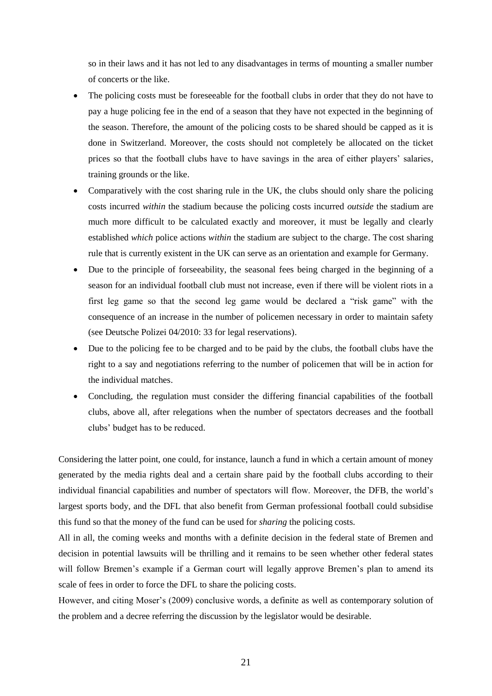so in their laws and it has not led to any disadvantages in terms of mounting a smaller number of concerts or the like.

- The policing costs must be foreseeable for the football clubs in order that they do not have to pay a huge policing fee in the end of a season that they have not expected in the beginning of the season. Therefore, the amount of the policing costs to be shared should be capped as it is done in Switzerland. Moreover, the costs should not completely be allocated on the ticket prices so that the football clubs have to have savings in the area of either players' salaries, training grounds or the like.
- Comparatively with the cost sharing rule in the UK, the clubs should only share the policing costs incurred *within* the stadium because the policing costs incurred *outside* the stadium are much more difficult to be calculated exactly and moreover, it must be legally and clearly established *which* police actions *within* the stadium are subject to the charge. The cost sharing rule that is currently existent in the UK can serve as an orientation and example for Germany.
- Due to the principle of forseeability, the seasonal fees being charged in the beginning of a season for an individual football club must not increase, even if there will be violent riots in a first leg game so that the second leg game would be declared a "risk game" with the consequence of an increase in the number of policemen necessary in order to maintain safety (see Deutsche Polizei 04/2010: 33 for legal reservations).
- Due to the policing fee to be charged and to be paid by the clubs, the football clubs have the right to a say and negotiations referring to the number of policemen that will be in action for the individual matches.
- Concluding, the regulation must consider the differing financial capabilities of the football clubs, above all, after relegations when the number of spectators decreases and the football clubs' budget has to be reduced.

Considering the latter point, one could, for instance, launch a fund in which a certain amount of money generated by the media rights deal and a certain share paid by the football clubs according to their individual financial capabilities and number of spectators will flow. Moreover, the DFB, the world's largest sports body, and the DFL that also benefit from German professional football could subsidise this fund so that the money of the fund can be used for *sharing* the policing costs.

All in all, the coming weeks and months with a definite decision in the federal state of Bremen and decision in potential lawsuits will be thrilling and it remains to be seen whether other federal states will follow Bremen's example if a German court will legally approve Bremen's plan to amend its scale of fees in order to force the DFL to share the policing costs.

However, and citing Moser's (2009) conclusive words, a definite as well as contemporary solution of the problem and a decree referring the discussion by the legislator would be desirable.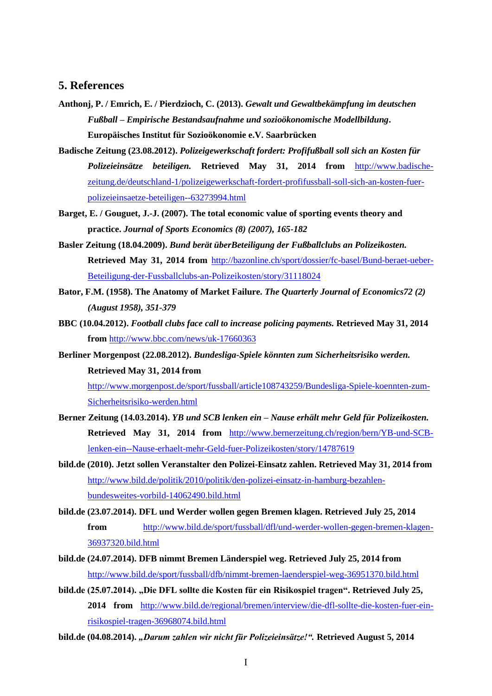## <span id="page-24-0"></span>**5. References**

- **Anthonj, P. / Emrich, E. / Pierdzioch, C. (2013).** *Gewalt und Gewaltbekämpfung im deutschen Fußball – Empirische Bestandsaufnahme und sozioökonomische Modellbildung***. Europäisches Institut für Sozioökonomie e.V. Saarbrücken**
- **Badische Zeitung (23.08.2012).** *Polizeigewerkschaft fordert: Profifußball soll sich an Kosten für Polizeieinsätze beteiligen.* **Retrieved May 31, 2014 from** [http://www.badische](http://www.badische-zeitung.de/deutschland-1/polizeigewerkschaft-fordert-profifussball-soll-sich-an-kosten-fuer-polizeieinsaetze-beteiligen--63273994.html)[zeitung.de/deutschland-1/polizeigewerkschaft-fordert-profifussball-soll-sich-an-kosten-fuer](http://www.badische-zeitung.de/deutschland-1/polizeigewerkschaft-fordert-profifussball-soll-sich-an-kosten-fuer-polizeieinsaetze-beteiligen--63273994.html)[polizeieinsaetze-beteiligen--63273994.html](http://www.badische-zeitung.de/deutschland-1/polizeigewerkschaft-fordert-profifussball-soll-sich-an-kosten-fuer-polizeieinsaetze-beteiligen--63273994.html)
- **Barget, E. / Gouguet, J.-J. (2007). The total economic value of sporting events theory and practice.** *Journal of Sports Economics (8) (2007), 165-182*
- **Basler Zeitung (18.04.2009).** *Bund berät überBeteiligung der Fußballclubs an Polizeikosten.* **Retrieved May 31, 2014 from** [http://bazonline.ch/sport/dossier/fc-basel/Bund-beraet-ueber-](http://bazonline.ch/sport/dossier/fc-basel/Bund-beraet-ueber-Beteiligung-der-Fussballclubs-an-Polizeikosten/story/31118024)[Beteiligung-der-Fussballclubs-an-Polizeikosten/story/31118024](http://bazonline.ch/sport/dossier/fc-basel/Bund-beraet-ueber-Beteiligung-der-Fussballclubs-an-Polizeikosten/story/31118024)
- **Bator, F.M. (1958). The Anatomy of Market Failure.** *The Quarterly Journal of Economics72 (2) (August 1958), 351-379*
- **BBC (10.04.2012).** *Football clubs face call to increase policing payments.* **Retrieved May 31, 2014 from** <http://www.bbc.com/news/uk-17660363>
- **Berliner Morgenpost (22.08.2012).** *Bundesliga-Spiele könnten zum Sicherheitsrisiko werden.* **Retrieved May 31, 2014 from**

[http://www.morgenpost.de/sport/fussball/article108743259/Bundesliga-Spiele-koennten-zum-](http://www.morgenpost.de/sport/fussball/article108743259/Bundesliga-Spiele-koennten-zum-Sicherheitsrisiko-werden.html)[Sicherheitsrisiko-werden.html](http://www.morgenpost.de/sport/fussball/article108743259/Bundesliga-Spiele-koennten-zum-Sicherheitsrisiko-werden.html)

- **Berner Zeitung (14.03.2014).** *YB und SCB lenken ein – Nause erhält mehr Geld für Polizeikosten.* **Retrieved May 31, 2014 from** [http://www.bernerzeitung.ch/region/bern/YB-und-SCB](http://www.bernerzeitung.ch/region/bern/YB-und-SCB-lenken-ein--Nause-erhaelt-mehr-Geld-fuer-Polizeikosten/story/14787619)[lenken-ein--Nause-erhaelt-mehr-Geld-fuer-Polizeikosten/story/14787619](http://www.bernerzeitung.ch/region/bern/YB-und-SCB-lenken-ein--Nause-erhaelt-mehr-Geld-fuer-Polizeikosten/story/14787619)
- **bild.de (2010). Jetzt sollen Veranstalter den Polizei-Einsatz zahlen. Retrieved May 31, 2014 from** [http://www.bild.de/politik/2010/politik/den-polizei-einsatz-in-hamburg-bezahlen](http://www.bild.de/politik/2010/politik/den-polizei-einsatz-in-hamburg-bezahlen-bundesweites-vorbild-14062490.bild.html)[bundesweites-vorbild-14062490.bild.html](http://www.bild.de/politik/2010/politik/den-polizei-einsatz-in-hamburg-bezahlen-bundesweites-vorbild-14062490.bild.html)
- **bild.de (23.07.2014). DFL und Werder wollen gegen Bremen klagen. Retrieved July 25, 2014 from** [http://www.bild.de/sport/fussball/dfl/und-werder-wollen-gegen-bremen-klagen-](http://www.bild.de/sport/fussball/dfl/und-werder-wollen-gegen-bremen-klagen-36937320.bild.html)[36937320.bild.html](http://www.bild.de/sport/fussball/dfl/und-werder-wollen-gegen-bremen-klagen-36937320.bild.html)
- **bild.de (24.07.2014). DFB nimmt Bremen Länderspiel weg. Retrieved July 25, 2014 from** <http://www.bild.de/sport/fussball/dfb/nimmt-bremen-laenderspiel-weg-36951370.bild.html>
- **bild.de (25.07.2014). "Die DFL sollte die Kosten für ein Risikospiel tragen". Retrieved July 25, 2014 from** [http://www.bild.de/regional/bremen/interview/die-dfl-sollte-die-kosten-fuer-ein](http://www.bild.de/regional/bremen/interview/die-dfl-sollte-die-kosten-fuer-ein-risikospiel-tragen-36968074.bild.html)[risikospiel-tragen-36968074.bild.html](http://www.bild.de/regional/bremen/interview/die-dfl-sollte-die-kosten-fuer-ein-risikospiel-tragen-36968074.bild.html)
- **bild.de (04.08.2014).** *"Darum zahlen wir nicht für Polizeieinsätze!".* **Retrieved August 5, 2014**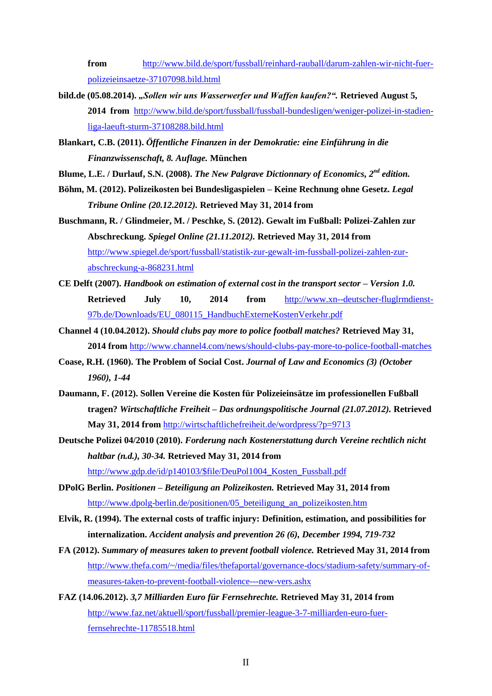**from** [http://www.bild.de/sport/fussball/reinhard-rauball/darum-zahlen-wir-nicht-fuer](http://www.bild.de/sport/fussball/reinhard-rauball/darum-zahlen-wir-nicht-fuer-polizeieinsaetze-37107098.bild.html)[polizeieinsaetze-37107098.bild.html](http://www.bild.de/sport/fussball/reinhard-rauball/darum-zahlen-wir-nicht-fuer-polizeieinsaetze-37107098.bild.html)

- **bild.de (05.08.2014).** *"Sollen wir uns Wasserwerfer und Waffen kaufen?".* **Retrieved August 5, 2014 from** [http://www.bild.de/sport/fussball/fussball-bundesligen/weniger-polizei-in-stadien](http://www.bild.de/sport/fussball/fussball-bundesligen/weniger-polizei-in-stadien-liga-laeuft-sturm-37108288.bild.html)[liga-laeuft-sturm-37108288.bild.html](http://www.bild.de/sport/fussball/fussball-bundesligen/weniger-polizei-in-stadien-liga-laeuft-sturm-37108288.bild.html)
- **Blankart, C.B. (2011).** *Öffentliche Finanzen in der Demokratie: eine Einführung in die Finanzwissenschaft, 8. Auflage.* **München**
- **Blume, L.E. / Durlauf, S.N. (2008).** *The New Palgrave Dictionnary of Economics, 2nd edition.*
- **Böhm, M. (2012). Polizeikosten bei Bundesligaspielen – Keine Rechnung ohne Gesetz.** *Legal Tribune Online (20.12.2012).* **Retrieved May 31, 2014 from**
- **Buschmann, R. / Glindmeier, M. / Peschke, S. (2012). Gewalt im Fußball: Polizei-Zahlen zur Abschreckung.** *Spiegel Online (21.11.2012).* **Retrieved May 31, 2014 from** [http://www.spiegel.de/sport/fussball/statistik-zur-gewalt-im-fussball-polizei-zahlen-zur](http://www.spiegel.de/sport/fussball/statistik-zur-gewalt-im-fussball-polizei-zahlen-zur-abschreckung-a-868231.html)[abschreckung-a-868231.html](http://www.spiegel.de/sport/fussball/statistik-zur-gewalt-im-fussball-polizei-zahlen-zur-abschreckung-a-868231.html)
- **CE Delft (2007).** *Handbook on estimation of external cost in the transport sector – Version 1.0.* **Retrieved July 10, 2014 from** [http://www.xn--deutscher-fluglrmdienst-](http://www.deutscher-fluglärmdienst.de/Downloads/EU_080115_HandbuchExterneKostenVerkehr.pdf)[97b.de/Downloads/EU\\_080115\\_HandbuchExterneKostenVerkehr.pdf](http://www.deutscher-fluglärmdienst.de/Downloads/EU_080115_HandbuchExterneKostenVerkehr.pdf)
- **Channel 4 (10.04.2012).** *Should clubs pay more to police football matches?* **Retrieved May 31, 2014 from** <http://www.channel4.com/news/should-clubs-pay-more-to-police-football-matches>
- **Coase, R.H. (1960). The Problem of Social Cost.** *Journal of Law and Economics (3) (October 1960), 1-44*
- **Daumann, F. (2012). Sollen Vereine die Kosten für Polizeieinsätze im professionellen Fußball tragen?** *Wirtschaftliche Freiheit – Das ordnungspolitische Journal (21.07.2012).* **Retrieved May 31, 2014 from** <http://wirtschaftlichefreiheit.de/wordpress/?p=9713>
- **Deutsche Polizei 04/2010 (2010).** *Forderung nach Kostenerstattung durch Vereine rechtlich nicht haltbar (n.d.), 30-34.* **Retrieved May 31, 2014 from** [http://www.gdp.de/id/p140103/\\$file/DeuPol1004\\_Kosten\\_Fussball.pdf](http://www.gdp.de/id/p140103/$file/DeuPol1004_Kosten_Fussball.pdf)
- **DPolG Berlin.** *Positionen – Beteiligung an Polizeikosten.* **Retrieved May 31, 2014 from** [http://www.dpolg-berlin.de/positionen/05\\_beteiligung\\_an\\_polizeikosten.htm](http://www.dpolg-berlin.de/positionen/05_beteiligung_an_polizeikosten.htm)
- **Elvik, R. (1994). The external costs of traffic injury: Definition, estimation, and possibilities for internalization.** *Accident analysis and prevention 26 (6), December 1994, 719-732*
- **FA (2012).** *Summary of measures taken to prevent football violence.* **Retrieved May 31, 2014 from** [http://www.thefa.com/~/media/files/thefaportal/governance-docs/stadium-safety/summary-of](http://www.thefa.com/~/media/files/thefaportal/governance-docs/stadium-safety/summary-of-measures-taken-to-prevent-football-violence---new-vers.ashx)[measures-taken-to-prevent-football-violence---new-vers.ashx](http://www.thefa.com/~/media/files/thefaportal/governance-docs/stadium-safety/summary-of-measures-taken-to-prevent-football-violence---new-vers.ashx)
- **FAZ (14.06.2012).** *3,7 Milliarden Euro für Fernsehrechte.* **Retrieved May 31, 2014 from** [http://www.faz.net/aktuell/sport/fussball/premier-league-3-7-milliarden-euro-fuer](http://www.faz.net/aktuell/sport/fussball/premier-league-3-7-milliarden-euro-fuer-fernsehrechte-11785518.html)[fernsehrechte-11785518.html](http://www.faz.net/aktuell/sport/fussball/premier-league-3-7-milliarden-euro-fuer-fernsehrechte-11785518.html)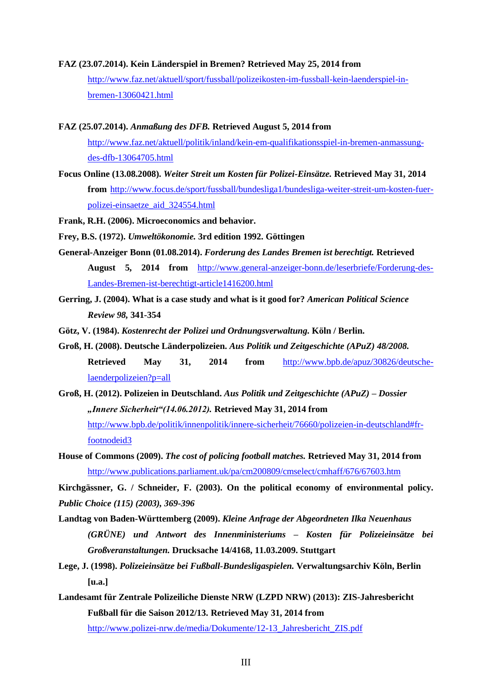#### **FAZ (23.07.2014). Kein Länderspiel in Bremen? Retrieved May 25, 2014 from**

[http://www.faz.net/aktuell/sport/fussball/polizeikosten-im-fussball-kein-laenderspiel-in](http://www.faz.net/aktuell/sport/fussball/polizeikosten-im-fussball-kein-laenderspiel-in-bremen-13060421.html)[bremen-13060421.html](http://www.faz.net/aktuell/sport/fussball/polizeikosten-im-fussball-kein-laenderspiel-in-bremen-13060421.html)

- **FAZ (25.07.2014).** *Anmaßung des DFB.* **Retrieved August 5, 2014 from** [http://www.faz.net/aktuell/politik/inland/kein-em-qualifikationsspiel-in-bremen-anmassung](http://www.faz.net/aktuell/politik/inland/kein-em-qualifikationsspiel-in-bremen-anmassung-des-dfb-13064705.html)[des-dfb-13064705.html](http://www.faz.net/aktuell/politik/inland/kein-em-qualifikationsspiel-in-bremen-anmassung-des-dfb-13064705.html)
- **Focus Online (13.08.2008).** *Weiter Streit um Kosten für Polizei-Einsätze.* **Retrieved May 31, 2014 from** [http://www.focus.de/sport/fussball/bundesliga1/bundesliga-weiter-streit-um-kosten-fuer](http://www.focus.de/sport/fussball/bundesliga1/bundesliga-weiter-streit-um-kosten-fuer-polizei-einsaetze_aid_324554.html)[polizei-einsaetze\\_aid\\_324554.html](http://www.focus.de/sport/fussball/bundesliga1/bundesliga-weiter-streit-um-kosten-fuer-polizei-einsaetze_aid_324554.html)
- **Frank, R.H. (2006). Microeconomics and behavior.**
- **Frey, B.S. (1972).** *Umweltökonomie.* **3rd edition 1992. Göttingen**
- **General-Anzeiger Bonn (01.08.2014).** *Forderung des Landes Bremen ist berechtigt.* **Retrieved August 5, 2014 from** [http://www.general-anzeiger-bonn.de/leserbriefe/Forderung-des-](http://www.general-anzeiger-bonn.de/leserbriefe/Forderung-des-Landes-Bremen-ist-berechtigt-article1416200.html)[Landes-Bremen-ist-berechtigt-article1416200.html](http://www.general-anzeiger-bonn.de/leserbriefe/Forderung-des-Landes-Bremen-ist-berechtigt-article1416200.html)
- **Gerring, J. (2004). What is a case study and what is it good for?** *American Political Science Review 98,* **341-354**
- **Götz, V. (1984).** *Kostenrecht der Polizei und Ordnungsverwaltung.* **Köln / Berlin.**
- **Groß, H. (2008). Deutsche Länderpolizeien.** *Aus Politik und Zeitgeschichte (APuZ) 48/2008.* **Retrieved May 31, 2014 from** [http://www.bpb.de/apuz/30826/deutsche](http://www.bpb.de/apuz/30826/deutsche-laenderpolizeien?p=all)[laenderpolizeien?p=all](http://www.bpb.de/apuz/30826/deutsche-laenderpolizeien?p=all)
- **Groß, H. (2012). Polizeien in Deutschland.** *Aus Politik und Zeitgeschichte (APuZ) – Dossier "Innere Sicherheit"(14.06.2012).* **Retrieved May 31, 2014 from** [http://www.bpb.de/politik/innenpolitik/innere-sicherheit/76660/polizeien-in-deutschland#fr](http://www.bpb.de/politik/innenpolitik/innere-sicherheit/76660/polizeien-in-deutschland#fr-footnodeid3)[footnodeid3](http://www.bpb.de/politik/innenpolitik/innere-sicherheit/76660/polizeien-in-deutschland#fr-footnodeid3)
- **House of Commons (2009).** *The cost of policing football matches.* **Retrieved May 31, 2014 from** <http://www.publications.parliament.uk/pa/cm200809/cmselect/cmhaff/676/67603.htm>

**Kirchgässner, G. / Schneider, F. (2003). On the political economy of environmental policy.** *Public Choice (115) (2003), 369-396*

- **Landtag von Baden-Württemberg (2009).** *Kleine Anfrage der Abgeordneten Ilka Neuenhaus (GRÜNE) und Antwort des Innenministeriums – Kosten für Polizeieinsätze bei Großveranstaltungen.* **Drucksache 14/4168, 11.03.2009. Stuttgart**
- **Lege, J. (1998).** *Polizeieinsätze bei Fußball-Bundesligaspielen.* **Verwaltungsarchiv Köln, Berlin [u.a.]**
- **Landesamt für Zentrale Polizeiliche Dienste NRW (LZPD NRW) (2013): ZIS-Jahresbericht Fußball für die Saison 2012/13. Retrieved May 31, 2014 from**

[http://www.polizei-nrw.de/media/Dokumente/12-13\\_Jahresbericht\\_ZIS.pdf](http://www.polizei-nrw.de/media/Dokumente/12-13_Jahresbericht_ZIS.pdf)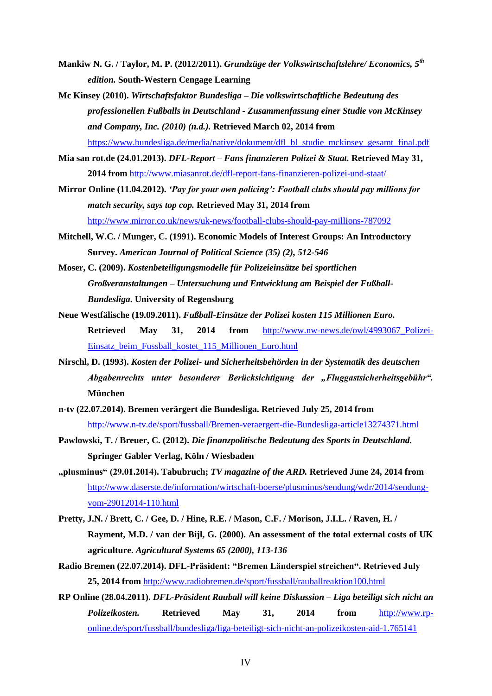- **Mankiw N. G. / Taylor, M. P. (2012/2011).** *Grundzüge der Volkswirtschaftslehre/ Economics, 5th edition.* **South-Western Cengage Learning**
- **Mc Kinsey (2010).** *Wirtschaftsfaktor Bundesliga – Die volkswirtschaftliche Bedeutung des professionellen Fußballs in Deutschland - Zusammenfassung einer Studie von McKinsey and Company, Inc. (2010) (n.d.).* **Retrieved March 02, 2014 from** [https://www.bundesliga.de/media/native/dokument/dfl\\_bl\\_studie\\_mckinsey\\_gesamt\\_final.pdf](https://www.bundesliga.de/media/native/dokument/dfl_bl_studie_mckinsey_gesamt_final.pdf)
- **Mia san rot.de (24.01.2013).** *DFL-Report – Fans finanzieren Polizei & Staat.* **Retrieved May 31, 2014 from** <http://www.miasanrot.de/dfl-report-fans-finanzieren-polizei-und-staat/>
- **Mirror Online (11.04.2012).** *'Pay for your own policing': Football clubs should pay millions for match security, says top cop.* **Retrieved May 31, 2014 from** <http://www.mirror.co.uk/news/uk-news/football-clubs-should-pay-millions-787092>
- **Mitchell, W.C. / Munger, C. (1991). Economic Models of Interest Groups: An Introductory Survey.** *American Journal of Political Science (35) (2), 512-546*
- **Moser, C. (2009).** *Kostenbeteiligungsmodelle für Polizeieinsätze bei sportlichen Großveranstaltungen – Untersuchung und Entwicklung am Beispiel der Fußball-Bundesliga***. University of Regensburg**
- **Neue Westfälische (19.09.2011).** *Fußball-Einsätze der Polizei kosten 115 Millionen Euro.* **Retrieved May 31, 2014 from** [http://www.nw-news.de/owl/4993067\\_Polizei-](http://www.nw-news.de/owl/4993067_Polizei-Einsatz_beim_Fussball_kostet_115_Millionen_Euro.html)[Einsatz\\_beim\\_Fussball\\_kostet\\_115\\_Millionen\\_Euro.html](http://www.nw-news.de/owl/4993067_Polizei-Einsatz_beim_Fussball_kostet_115_Millionen_Euro.html)
- **Nirschl, D. (1993).** *Kosten der Polizei- und Sicherheitsbehörden in der Systematik des deutschen Abgabenrechts unter besonderer Berücksichtigung der "Fluggastsicherheitsgebühr".* **München**
- **n-tv (22.07.2014). Bremen verärgert die Bundesliga. Retrieved July 25, 2014 from** <http://www.n-tv.de/sport/fussball/Bremen-veraergert-die-Bundesliga-article13274371.html>
- **Pawlowski, T. / Breuer, C. (2012).** *Die finanzpolitische Bedeutung des Sports in Deutschland.* **Springer Gabler Verlag, Köln / Wiesbaden**
- **"plusminus" (29.01.2014). Tabubruch;** *TV magazine of the ARD.* **Retrieved June 24, 2014 from** [http://www.daserste.de/information/wirtschaft-boerse/plusminus/sendung/wdr/2014/sendung](http://www.daserste.de/information/wirtschaft-boerse/plusminus/sendung/wdr/2014/sendung-vom-29012014-110.html)[vom-29012014-110.html](http://www.daserste.de/information/wirtschaft-boerse/plusminus/sendung/wdr/2014/sendung-vom-29012014-110.html)
- **Pretty, J.N. / Brett, C. / Gee, D. / Hine, R.E. / Mason, C.F. / Morison, J.I.L. / Raven, H. / Rayment, M.D. / van der Bijl, G. (2000). An assessment of the total external costs of UK agriculture.** *Agricultural Systems 65 (2000), 113-136*
- **Radio Bremen (22.07.2014). DFL-Präsident: "Bremen Länderspiel streichen". Retrieved July 25, 2014 from** <http://www.radiobremen.de/sport/fussball/rauballreaktion100.html>
- **RP Online (28.04.2011).** *DFL-Präsident Rauball will keine Diskussion – Liga beteiligt sich nicht an Polizeikosten.* **Retrieved May 31, 2014 from** [http://www.rp](http://www.rp-online.de/sport/fussball/bundesliga/liga-beteiligt-sich-nicht-an-polizeikosten-aid-1.765141)[online.de/sport/fussball/bundesliga/liga-beteiligt-sich-nicht-an-polizeikosten-aid-1.765141](http://www.rp-online.de/sport/fussball/bundesliga/liga-beteiligt-sich-nicht-an-polizeikosten-aid-1.765141)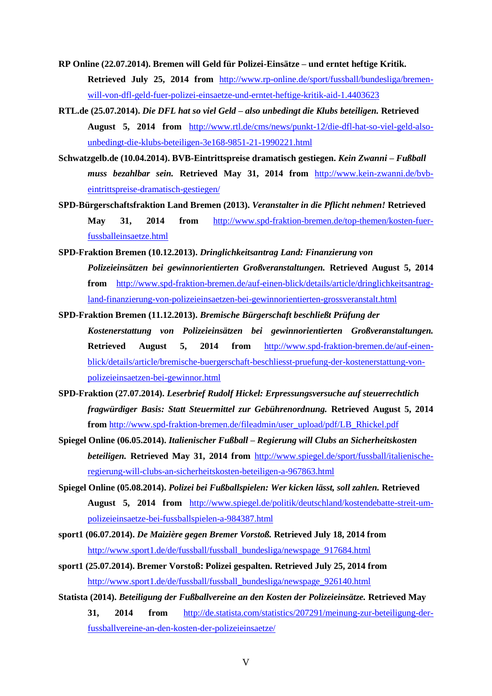**RP Online (22.07.2014). Bremen will Geld für Polizei-Einsätze – und erntet heftige Kritik. Retrieved July 25, 2014 from** [http://www.rp-online.de/sport/fussball/bundesliga/bremen](http://www.rp-online.de/sport/fussball/bundesliga/bremen-will-von-dfl-geld-fuer-polizei-einsaetze-und-erntet-heftige-kritik-aid-1.4403623)[will-von-dfl-geld-fuer-polizei-einsaetze-und-erntet-heftige-kritik-aid-1.4403623](http://www.rp-online.de/sport/fussball/bundesliga/bremen-will-von-dfl-geld-fuer-polizei-einsaetze-und-erntet-heftige-kritik-aid-1.4403623)

- **RTL.de (25.07.2014).** *Die DFL hat so viel Geld – also unbedingt die Klubs beteiligen.* **Retrieved August 5, 2014 from** [http://www.rtl.de/cms/news/punkt-12/die-dfl-hat-so-viel-geld-also](http://www.rtl.de/cms/news/punkt-12/die-dfl-hat-so-viel-geld-also-unbedingt-die-klubs-beteiligen-3e168-9851-21-1990221.html)[unbedingt-die-klubs-beteiligen-3e168-9851-21-1990221.html](http://www.rtl.de/cms/news/punkt-12/die-dfl-hat-so-viel-geld-also-unbedingt-die-klubs-beteiligen-3e168-9851-21-1990221.html)
- **Schwatzgelb.de (10.04.2014). BVB-Eintrittspreise dramatisch gestiegen.** *Kein Zwanni – Fußball muss bezahlbar sein.* **Retrieved May 31, 2014 from** [http://www.kein-zwanni.de/bvb](http://www.kein-zwanni.de/bvb-eintrittspreise-dramatisch-gestiegen/)[eintrittspreise-dramatisch-gestiegen/](http://www.kein-zwanni.de/bvb-eintrittspreise-dramatisch-gestiegen/)
- **SPD-Bürgerschaftsfraktion Land Bremen (2013).** *Veranstalter in die Pflicht nehmen!* **Retrieved May 31, 2014 from** [http://www.spd-fraktion-bremen.de/top-themen/kosten-fuer](http://www.spd-fraktion-bremen.de/top-themen/kosten-fuer-fussballeinsaetze.html)[fussballeinsaetze.html](http://www.spd-fraktion-bremen.de/top-themen/kosten-fuer-fussballeinsaetze.html)
- **SPD-Fraktion Bremen (10.12.2013).** *Dringlichkeitsantrag Land: Finanzierung von Polizeieinsätzen bei gewinnorientierten Großveranstaltungen.* **Retrieved August 5, 2014 from** [http://www.spd-fraktion-bremen.de/auf-einen-blick/details/article/dringlichkeitsantrag](http://www.spd-fraktion-bremen.de/auf-einen-blick/details/article/dringlichkeitsantrag-land-finanzierung-von-polizeieinsaetzen-bei-gewinnorientierten-grossveranstalt.html)[land-finanzierung-von-polizeieinsaetzen-bei-gewinnorientierten-grossveranstalt.html](http://www.spd-fraktion-bremen.de/auf-einen-blick/details/article/dringlichkeitsantrag-land-finanzierung-von-polizeieinsaetzen-bei-gewinnorientierten-grossveranstalt.html)
- **SPD-Fraktion Bremen (11.12.2013).** *Bremische Bürgerschaft beschließt Prüfung der Kostenerstattung von Polizeieinsätzen bei gewinnorientierten Großveranstaltungen.* **Retrieved August 5, 2014 from** [http://www.spd-fraktion-bremen.de/auf-einen](http://www.spd-fraktion-bremen.de/auf-einen-blick/details/article/bremische-buergerschaft-beschliesst-pruefung-der-kostenerstattung-von-polizeieinsaetzen-bei-gewinnor.html)[blick/details/article/bremische-buergerschaft-beschliesst-pruefung-der-kostenerstattung-von](http://www.spd-fraktion-bremen.de/auf-einen-blick/details/article/bremische-buergerschaft-beschliesst-pruefung-der-kostenerstattung-von-polizeieinsaetzen-bei-gewinnor.html)[polizeieinsaetzen-bei-gewinnor.html](http://www.spd-fraktion-bremen.de/auf-einen-blick/details/article/bremische-buergerschaft-beschliesst-pruefung-der-kostenerstattung-von-polizeieinsaetzen-bei-gewinnor.html)
- **SPD-Fraktion (27.07.2014).** *Leserbrief Rudolf Hickel: Erpressungsversuche auf steuerrechtlich fragwürdiger Basis: Statt Steuermittel zur Gebührenordnung.* **Retrieved August 5, 2014 from** [http://www.spd-fraktion-bremen.de/fileadmin/user\\_upload/pdf/LB\\_Rhickel.pdf](http://www.spd-fraktion-bremen.de/fileadmin/user_upload/pdf/LB_Rhickel.pdf)
- **Spiegel Online (06.05.2014).** *Italienischer Fußball – Regierung will Clubs an Sicherheitskosten beteiligen.* **Retrieved May 31, 2014 from** [http://www.spiegel.de/sport/fussball/italienische](http://www.spiegel.de/sport/fussball/italienische-regierung-will-clubs-an-sicherheitskosten-beteiligen-a-967863.html)[regierung-will-clubs-an-sicherheitskosten-beteiligen-a-967863.html](http://www.spiegel.de/sport/fussball/italienische-regierung-will-clubs-an-sicherheitskosten-beteiligen-a-967863.html)
- **Spiegel Online (05.08.2014).** *Polizei bei Fußballspielen: Wer kicken lässt, soll zahlen.* **Retrieved August 5, 2014 from** [http://www.spiegel.de/politik/deutschland/kostendebatte-streit-um](http://www.spiegel.de/politik/deutschland/kostendebatte-streit-um-polizeieinsaetze-bei-fussballspielen-a-984387.html)[polizeieinsaetze-bei-fussballspielen-a-984387.html](http://www.spiegel.de/politik/deutschland/kostendebatte-streit-um-polizeieinsaetze-bei-fussballspielen-a-984387.html)
- **sport1 (06.07.2014).** *De Maizière gegen Bremer Vorstoß.* **Retrieved July 18, 2014 from** [http://www.sport1.de/de/fussball/fussball\\_bundesliga/newspage\\_917684.html](http://www.sport1.de/de/fussball/fussball_bundesliga/newspage_917684.html)
- **sport1 (25.07.2014). Bremer Vorstoß: Polizei gespalten. Retrieved July 25, 2014 from** [http://www.sport1.de/de/fussball/fussball\\_bundesliga/newspage\\_926140.html](http://www.sport1.de/de/fussball/fussball_bundesliga/newspage_926140.html)
- **Statista (2014).** *Beteiligung der Fußballvereine an den Kosten der Polizeieinsätze.* **Retrieved May 31, 2014 from** [http://de.statista.com/statistics/207291/meinung-zur-beteiligung-der](http://de.statista.com/statistics/207291/meinung-zur-beteiligung-der-fussballvereine-an-den-kosten-der-polizeieinsaetze/)[fussballvereine-an-den-kosten-der-polizeieinsaetze/](http://de.statista.com/statistics/207291/meinung-zur-beteiligung-der-fussballvereine-an-den-kosten-der-polizeieinsaetze/)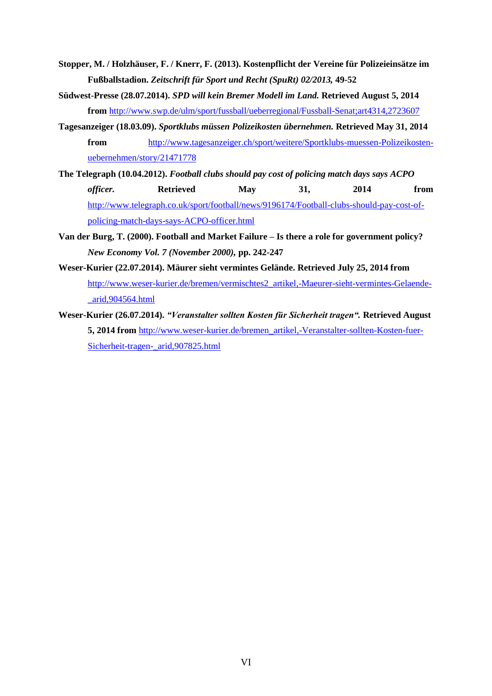- **Stopper, M. / Holzhäuser, F. / Knerr, F. (2013). Kostenpflicht der Vereine für Polizeieinsätze im Fußballstadion.** *Zeitschrift für Sport und Recht (SpuRt) 02/2013,* **49-52**
- **Südwest-Presse (28.07.2014).** *SPD will kein Bremer Modell im Land.* **Retrieved August 5, 2014 from** <http://www.swp.de/ulm/sport/fussball/ueberregional/Fussball-Senat;art4314,2723607>
- **Tagesanzeiger (18.03.09).** *Sportklubs müssen Polizeikosten übernehmen.* **Retrieved May 31, 2014 from** [http://www.tagesanzeiger.ch/sport/weitere/Sportklubs-muessen-Polizeikosten](http://www.tagesanzeiger.ch/sport/weitere/Sportklubs-muessen-Polizeikosten-uebernehmen/story/21471778)[uebernehmen/story/21471778](http://www.tagesanzeiger.ch/sport/weitere/Sportklubs-muessen-Polizeikosten-uebernehmen/story/21471778)
- **The Telegraph (10.04.2012).** *Football clubs should pay cost of policing match days says ACPO officer.* **Retrieved** May 31, 2014 from [http://www.telegraph.co.uk/sport/football/news/9196174/Football-clubs-should-pay-cost-of](http://www.telegraph.co.uk/sport/football/news/9196174/Football-clubs-should-pay-cost-of-policing-match-days-says-ACPO-officer.html)[policing-match-days-says-ACPO-officer.html](http://www.telegraph.co.uk/sport/football/news/9196174/Football-clubs-should-pay-cost-of-policing-match-days-says-ACPO-officer.html)
- **Van der Burg, T. (2000). Football and Market Failure – Is there a role for government policy?** *New Economy Vol. 7 (November 2000),* **pp. 242-247**
- **Weser-Kurier (22.07.2014). Mäurer sieht vermintes Gelände. Retrieved July 25, 2014 from** [http://www.weser-kurier.de/bremen/vermischtes2\\_artikel,-Maeurer-sieht-vermintes-Gelaende-](http://www.weser-kurier.de/bremen/vermischtes2_artikel,-Maeurer-sieht-vermintes-Gelaende-_arid,904564.html) [\\_arid,904564.html](http://www.weser-kurier.de/bremen/vermischtes2_artikel,-Maeurer-sieht-vermintes-Gelaende-_arid,904564.html)
- **Weser-Kurier (26.07.2014).** *"Veranstalter sollten Kosten für Sicherheit tragen".* **Retrieved August 5, 2014 from** [http://www.weser-kurier.de/bremen\\_artikel,-Veranstalter-sollten-Kosten-fuer-](http://www.weser-kurier.de/bremen_artikel,-Veranstalter-sollten-Kosten-fuer-Sicherheit-tragen-_arid,907825.html)[Sicherheit-tragen-\\_arid,907825.html](http://www.weser-kurier.de/bremen_artikel,-Veranstalter-sollten-Kosten-fuer-Sicherheit-tragen-_arid,907825.html)